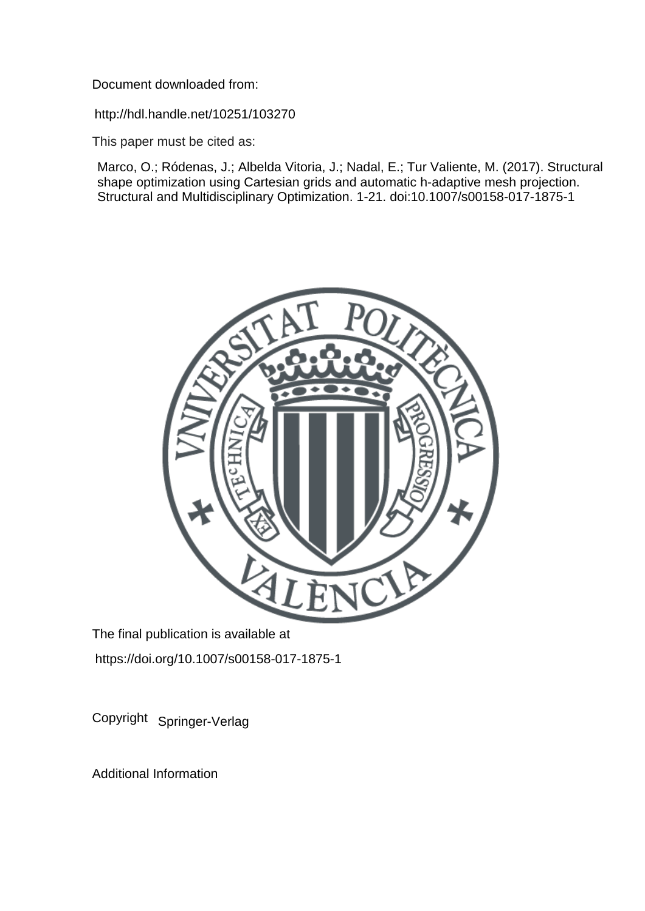Document downloaded from:

http://hdl.handle.net/10251/103270

This paper must be cited as:

Marco, O.; Ródenas, J.; Albelda Vitoria, J.; Nadal, E.; Tur Valiente, M. (2017). Structural shape optimization using Cartesian grids and automatic h-adaptive mesh projection. Structural and Multidisciplinary Optimization. 1-21. doi:10.1007/s00158-017-1875-1



The final publication is available at https://doi.org/10.1007/s00158-017-1875-1

Copyright Springer-Verlag

Additional Information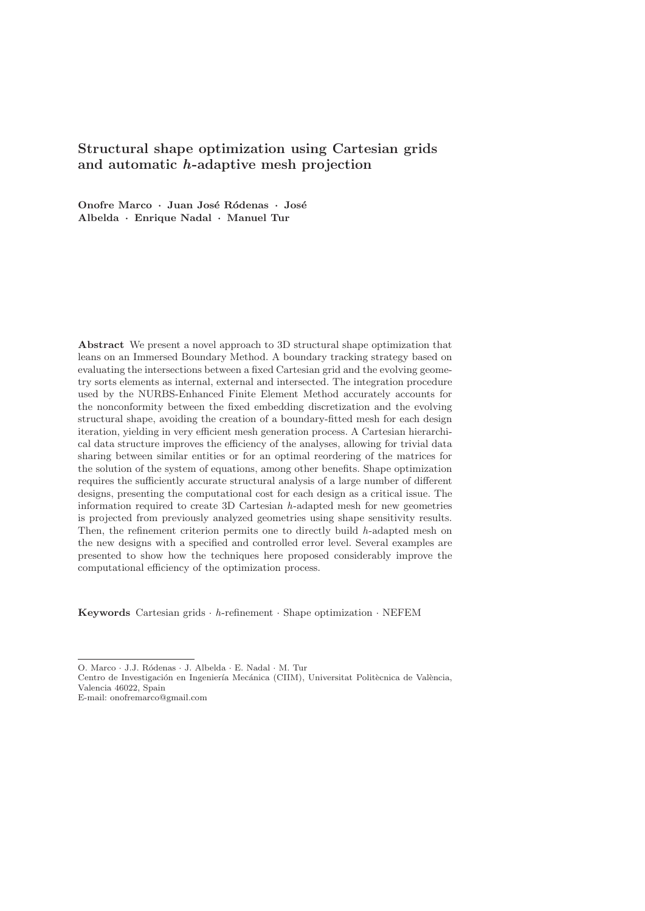# **Structural shape optimization using Cartesian grids and automatic** *h***-adaptive mesh projection**

**Onofre Marco** *·* **Juan Jos´e R´odenas** *·* **Jos´e Albelda** *·* **Enrique Nadal** *·* **Manuel Tur**

**Abstract** We present a novel approach to 3D structural shape optimization that leans on an Immersed Boundary Method. A boundary tracking strategy based on evaluating the intersections between a fixed Cartesian grid and the evolving geometry sorts elements as internal, external and intersected. The integration procedure used by the NURBS-Enhanced Finite Element Method accurately accounts for the nonconformity between the fixed embedding discretization and the evolving structural shape, avoiding the creation of a boundary-fitted mesh for each design iteration, yielding in very efficient mesh generation process. A Cartesian hierarchical data structure improves the efficiency of the analyses, allowing for trivial data sharing between similar entities or for an optimal reordering of the matrices for the solution of the system of equations, among other benefits. Shape optimization requires the sufficiently accurate structural analysis of a large number of different designs, presenting the computational cost for each design as a critical issue. The information required to create 3D Cartesian h-adapted mesh for new geometries is projected from previously analyzed geometries using shape sensitivity results. Then, the refinement criterion permits one to directly build  $h$ -adapted mesh on the new designs with a specified and controlled error level. Several examples are presented to show how the techniques here proposed considerably improve the computational efficiency of the optimization process.

**Keywords** Cartesian grids  $\cdot$  h-refinement  $\cdot$  Shape optimization  $\cdot$  NEFEM

O. Marco · J.J. Ródenas · J. Albelda · E. Nadal · M. Tur

Centro de Investigación en Ingeniería Mecánica (CIIM), Universitat Politècnica de València, Valencia 46022, Spain

E-mail: onofremarco@gmail.com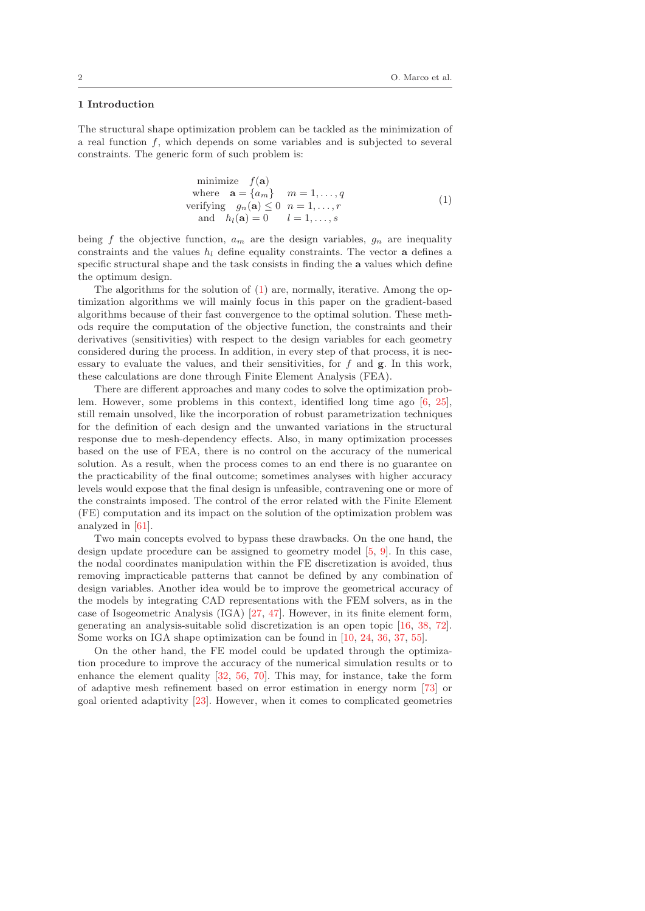#### **1 Introduction**

The structural shape optimization problem can be tackled as the minimization of a real function f, which depends on some variables and is subjected to several constraints. The generic form of such problem is:

minimize 
$$
f(\mathbf{a})
$$
  
\nwhere  $\mathbf{a} = \{a_m\}$   $m = 1, ..., q$   
\nverifying  $g_n(\mathbf{a}) \le 0$   $n = 1, ..., r$   
\nand  $h_l(\mathbf{a}) = 0$   $l = 1, ..., s$  (1)

being f the objective function,  $a_m$  are the design variables,  $q_n$  are inequality constraints and the values  $h_l$  define equality constraints. The vector **a** defines a specific structural shape and the task consists in finding the **a** values which define the optimum design.

The algorithms for the solution of (1) are, normally, iterative. Among the optimization algorithms we will mainly focus in this paper on the gradient-based algorithms because of their fast convergence to the optimal solution. These methods require the computation of the objective function, the constraints and their derivatives (sensitivities) with respect to the design variables for each geometry considered during the process. In addition, in every step of that process, it is necessary to evaluate the values, and their sensitivities, for f and **g**. In this work, these calculations are done through Finite Element Analysis (FEA).

There are different approaches and many codes to solve the optimization problem. However, some problems in this context, identified long time ago [6, 25], still remain unsolved, like the incorporation of robust parametrization techniques for the definition of each design and the unwanted variations in the structural response due to mesh-dependency effects. Also, in many optimization processes based on the use of FEA, there is no control on the accuracy of the numerical solution. As a result, when the process comes to an end there is no guarantee on the practicability of the final outcome; sometimes analyses with higher accuracy levels would expose that the final design is unfeasible, contravening one or more of the constraints imposed. The control of the error related with the Finite Element (FE) computation and its impact on the solution of the optimization problem was analyzed in [61].

Two main concepts evolved to bypass these drawbacks. On the one hand, the design update procedure can be assigned to geometry model [5, 9]. In this case, the nodal coordinates manipulation within the FE discretization is avoided, thus removing impracticable patterns that cannot be defined by any combination of design variables. Another idea would be to improve the geometrical accuracy of the models by integrating CAD representations with the FEM solvers, as in the case of Isogeometric Analysis (IGA) [27, 47]. However, in its finite element form, generating an analysis-suitable solid discretization is an open topic [16, 38, 72]. Some works on IGA shape optimization can be found in [10, 24, 36, 37, 55].

On the other hand, the FE model could be updated through the optimization procedure to improve the accuracy of the numerical simulation results or to enhance the element quality [32, 56, 70]. This may, for instance, take the form of adaptive mesh refinement based on error estimation in energy norm [73] or goal oriented adaptivity [23]. However, when it comes to complicated geometries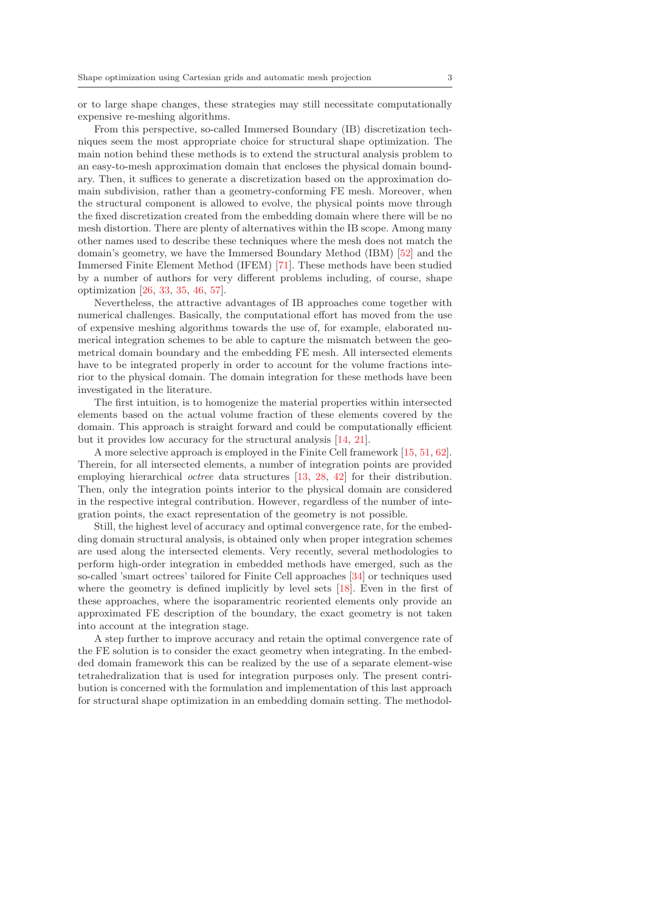or to large shape changes, these strategies may still necessitate computationally expensive re-meshing algorithms.

From this perspective, so-called Immersed Boundary (IB) discretization techniques seem the most appropriate choice for structural shape optimization. The main notion behind these methods is to extend the structural analysis problem to an easy-to-mesh approximation domain that encloses the physical domain boundary. Then, it suffices to generate a discretization based on the approximation domain subdivision, rather than a geometry-conforming FE mesh. Moreover, when the structural component is allowed to evolve, the physical points move through the fixed discretization created from the embedding domain where there will be no mesh distortion. There are plenty of alternatives within the IB scope. Among many other names used to describe these techniques where the mesh does not match the domain's geometry, we have the Immersed Boundary Method (IBM) [52] and the Immersed Finite Element Method (IFEM) [71]. These methods have been studied by a number of authors for very different problems including, of course, shape optimization [26, 33, 35, 46, 57].

Nevertheless, the attractive advantages of IB approaches come together with numerical challenges. Basically, the computational effort has moved from the use of expensive meshing algorithms towards the use of, for example, elaborated numerical integration schemes to be able to capture the mismatch between the geometrical domain boundary and the embedding FE mesh. All intersected elements have to be integrated properly in order to account for the volume fractions interior to the physical domain. The domain integration for these methods have been investigated in the literature.

The first intuition, is to homogenize the material properties within intersected elements based on the actual volume fraction of these elements covered by the domain. This approach is straight forward and could be computationally efficient but it provides low accuracy for the structural analysis [14, 21].

A more selective approach is employed in the Finite Cell framework [15, 51, 62]. Therein, for all intersected elements, a number of integration points are provided employing hierarchical octree data structures [13, 28, 42] for their distribution. Then, only the integration points interior to the physical domain are considered in the respective integral contribution. However, regardless of the number of integration points, the exact representation of the geometry is not possible.

Still, the highest level of accuracy and optimal convergence rate, for the embedding domain structural analysis, is obtained only when proper integration schemes are used along the intersected elements. Very recently, several methodologies to perform high-order integration in embedded methods have emerged, such as the so-called 'smart octrees' tailored for Finite Cell approaches [34] or techniques used where the geometry is defined implicitly by level sets [18]. Even in the first of these approaches, where the isoparamentric reoriented elements only provide an approximated FE description of the boundary, the exact geometry is not taken into account at the integration stage.

A step further to improve accuracy and retain the optimal convergence rate of the FE solution is to consider the exact geometry when integrating. In the embedded domain framework this can be realized by the use of a separate element-wise tetrahedralization that is used for integration purposes only. The present contribution is concerned with the formulation and implementation of this last approach for structural shape optimization in an embedding domain setting. The methodol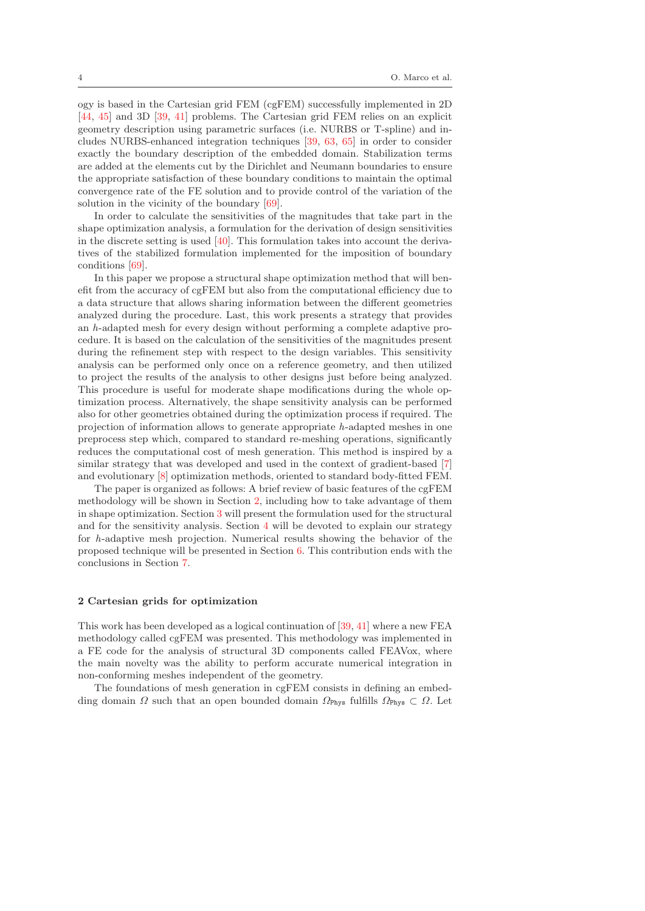ogy is based in the Cartesian grid FEM (cgFEM) successfully implemented in 2D [44, 45] and 3D [39, 41] problems. The Cartesian grid FEM relies on an explicit geometry description using parametric surfaces (i.e. NURBS or T-spline) and includes NURBS-enhanced integration techniques [39, 63, 65] in order to consider exactly the boundary description of the embedded domain. Stabilization terms are added at the elements cut by the Dirichlet and Neumann boundaries to ensure the appropriate satisfaction of these boundary conditions to maintain the optimal convergence rate of the FE solution and to provide control of the variation of the solution in the vicinity of the boundary [69].

In order to calculate the sensitivities of the magnitudes that take part in the shape optimization analysis, a formulation for the derivation of design sensitivities in the discrete setting is used  $[40]$ . This formulation takes into account the derivatives of the stabilized formulation implemented for the imposition of boundary conditions [69].

In this paper we propose a structural shape optimization method that will benefit from the accuracy of cgFEM but also from the computational efficiency due to a data structure that allows sharing information between the different geometries analyzed during the procedure. Last, this work presents a strategy that provides an h-adapted mesh for every design without performing a complete adaptive procedure. It is based on the calculation of the sensitivities of the magnitudes present during the refinement step with respect to the design variables. This sensitivity analysis can be performed only once on a reference geometry, and then utilized to project the results of the analysis to other designs just before being analyzed. This procedure is useful for moderate shape modifications during the whole optimization process. Alternatively, the shape sensitivity analysis can be performed also for other geometries obtained during the optimization process if required. The projection of information allows to generate appropriate h-adapted meshes in one preprocess step which, compared to standard re-meshing operations, significantly reduces the computational cost of mesh generation. This method is inspired by a similar strategy that was developed and used in the context of gradient-based [7] and evolutionary [8] optimization methods, oriented to standard body-fitted FEM.

The paper is organized as follows: A brief review of basic features of the cgFEM methodology will be shown in Section 2, including how to take advantage of them in shape optimization. Section 3 will present the formulation used for the structural and for the sensitivity analysis. Section 4 will be devoted to explain our strategy for h-adaptive mesh projection. Numerical results showing the behavior of the proposed technique will be presented in Section  $6$ . This contribution ends with the conclusions in Section 7.

#### **2 Cartesian grids for optimization**

This work has been developed as a logical continuation of [39, 41] where a new FEA methodology called cgFEM was presented. This methodology was implemented in a FE code for the analysis of structural 3D components called FEAVox, where the main novelty was the ability to perform accurate numerical integration in non-conforming meshes independent of the geometry.

The foundations of mesh generation in cgFEM consists in defining an embedding domain  $\Omega$  such that an open bounded domain  $\Omega_{\text{Phys}}$  fulfills  $\Omega_{\text{Phys}} \subset \Omega$ . Let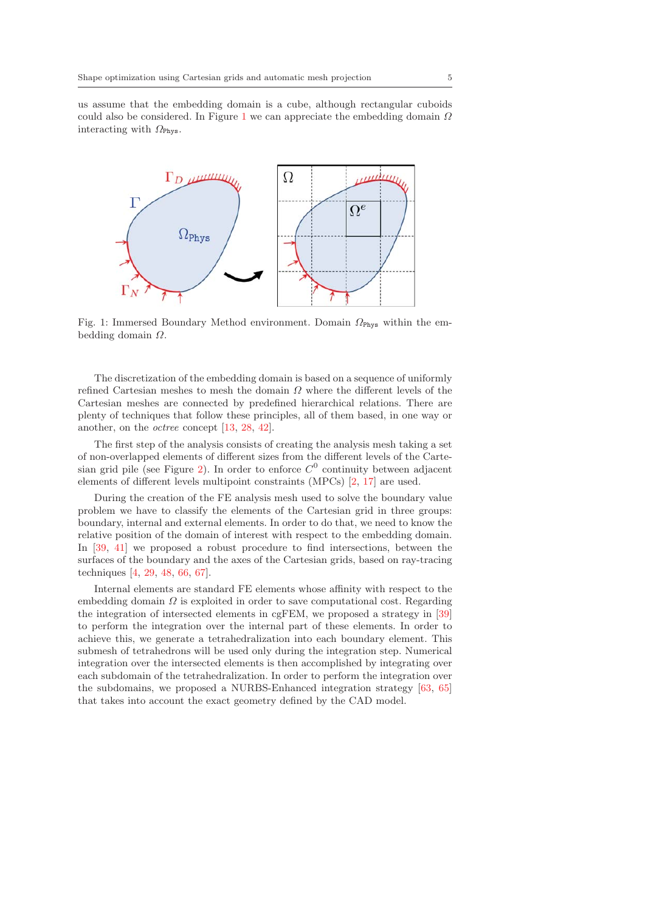us assume that the embedding domain is a cube, although rectangular cuboids could also be considered. In Figure 1 we can appreciate the embedding domain  $\Omega$ interacting with  $\Omega_{\text{Phys}}$ .



Fig. 1: Immersed Boundary Method environment. Domain  $\Omega_{\text{Phys}}$  within the embedding domain  $\Omega$ .

The discretization of the embedding domain is based on a sequence of uniformly refined Cartesian meshes to mesh the domain  $\Omega$  where the different levels of the Cartesian meshes are connected by predefined hierarchical relations. There are plenty of techniques that follow these principles, all of them based, in one way or another, on the octree concept [13, 28, 42].

The first step of the analysis consists of creating the analysis mesh taking a set of non-overlapped elements of different sizes from the different levels of the Cartesian grid pile (see Figure 2). In order to enforce  $C^0$  continuity between adjacent elements of different levels multipoint constraints (MPCs) [2, 17] are used.

During the creation of the FE analysis mesh used to solve the boundary value problem we have to classify the elements of the Cartesian grid in three groups: boundary, internal and external elements. In order to do that, we need to know the relative position of the domain of interest with respect to the embedding domain. In [39, 41] we proposed a robust procedure to find intersections, between the surfaces of the boundary and the axes of the Cartesian grids, based on ray-tracing techniques [4, 29, 48, 66, 67].

Internal elements are standard FE elements whose affinity with respect to the embedding domain  $\Omega$  is exploited in order to save computational cost. Regarding the integration of intersected elements in cgFEM, we proposed a strategy in [39] to perform the integration over the internal part of these elements. In order to achieve this, we generate a tetrahedralization into each boundary element. This submesh of tetrahedrons will be used only during the integration step. Numerical integration over the intersected elements is then accomplished by integrating over each subdomain of the tetrahedralization. In order to perform the integration over the subdomains, we proposed a NURBS-Enhanced integration strategy [63, 65] that takes into account the exact geometry defined by the CAD model.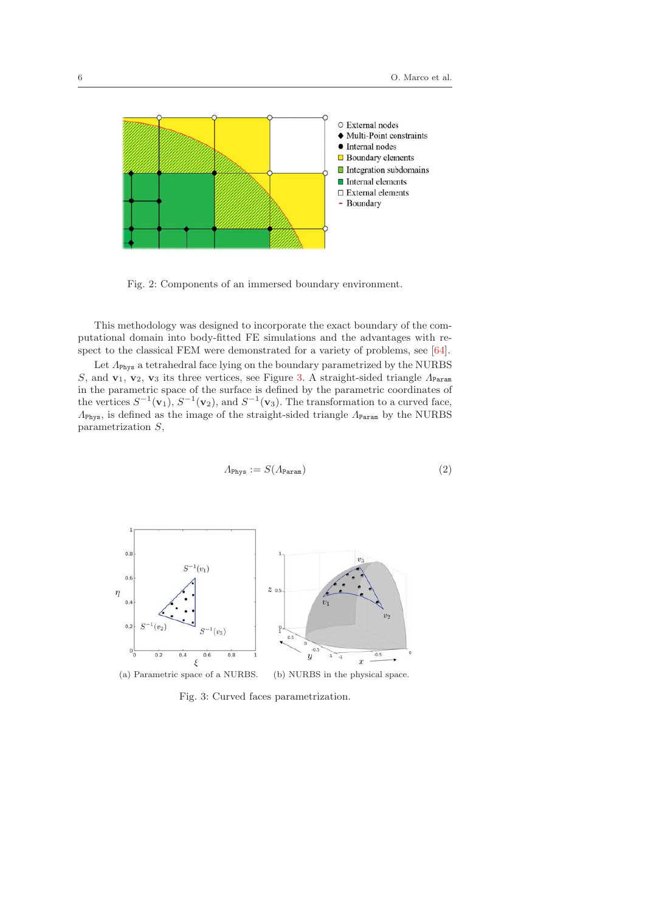

Fig. 2: Components of an immersed boundary environment.

This methodology was designed to incorporate the exact boundary of the computational domain into body-fitted FE simulations and the advantages with respect to the classical FEM were demonstrated for a variety of problems, see [64].

Let  $\Lambda_{\rm Phys}$  a tetrahedral face lying on the boundary parametrized by the NURBS S, and  $\mathbf{v}_1, \mathbf{v}_2, \mathbf{v}_3$  its three vertices, see Figure 3. A straight-sided triangle  $\Lambda_{\text{Param}}$ in the parametric space of the surface is defined by the parametric coordinates of the vertices  $S^{-1}(\mathbf{v}_1)$ ,  $S^{-1}(\mathbf{v}_2)$ , and  $S^{-1}(\mathbf{v}_3)$ . The transformation to a curved face, ΛPhys, is defined as the image of the straight-sided triangle ΛParam by the NURBS parametrization S,

$$
\Lambda_{\text{Phys}} := S(\Lambda_{\text{Param}}) \tag{2}
$$



Fig. 3: Curved faces parametrization.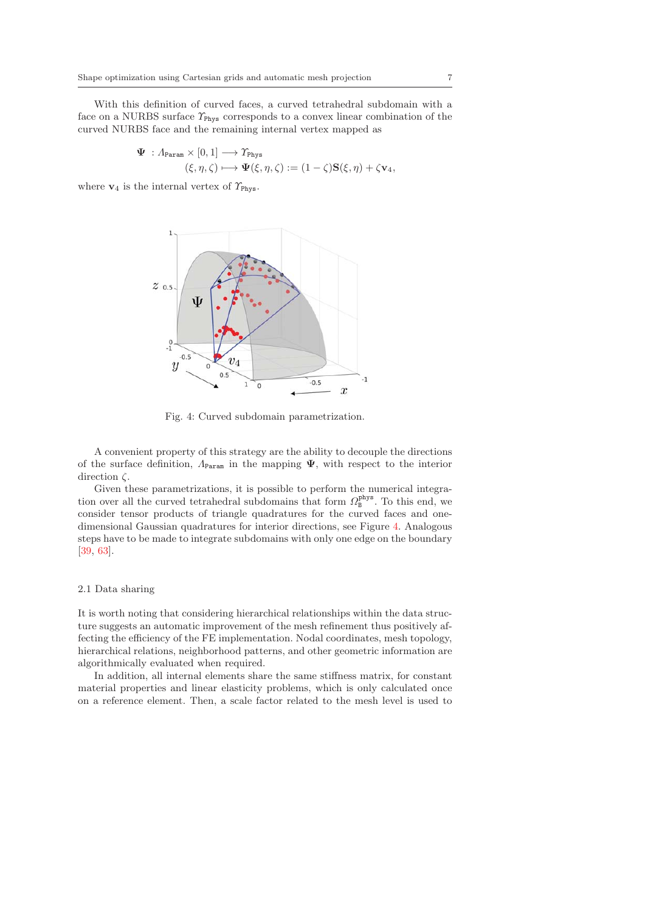With this definition of curved faces, a curved tetrahedral subdomain with a face on a NURBS surface  $\Upsilon_{\text{Phys}}$  corresponds to a convex linear combination of the curved NURBS face and the remaining internal vertex mapped as

$$
\begin{aligned} \Psi\;: \varLambda_{\texttt{Param}} \times [0,1] &\longrightarrow \varUpsilon_{\texttt{Phys}} \\ (\xi,\eta,\zeta) &\longmapsto \Psi(\xi,\eta,\zeta):=(1-\zeta)\mathbf{S}(\xi,\eta)+\zeta \mathbf{v}_4, \end{aligned}
$$

where  $\mathbf{v}_4$  is the internal vertex of  $\gamma_{\text{Phys}}$ .



Fig. 4: Curved subdomain parametrization.

A convenient property of this strategy are the ability to decouple the directions of the surface definition,  $\Lambda_{\text{Param}}$  in the mapping  $\Psi$ , with respect to the interior direction  $\zeta$ .

Given these parametrizations, it is possible to perform the numerical integration over all the curved tetrahedral subdomains that form  $\Omega_{\text{B}}^{\text{phys}}$ . To this end, we consider tensor products of triangle quadratures for the curved faces and onedimensional Gaussian quadratures for interior directions, see Figure 4. Analogous steps have to be made to integrate subdomains with only one edge on the boundary [39, 63].

## 2.1 Data sharing

It is worth noting that considering hierarchical relationships within the data structure suggests an automatic improvement of the mesh refinement thus positively affecting the efficiency of the FE implementation. Nodal coordinates, mesh topology, hierarchical relations, neighborhood patterns, and other geometric information are algorithmically evaluated when required.

In addition, all internal elements share the same stiffness matrix, for constant material properties and linear elasticity problems, which is only calculated once on a reference element. Then, a scale factor related to the mesh level is used to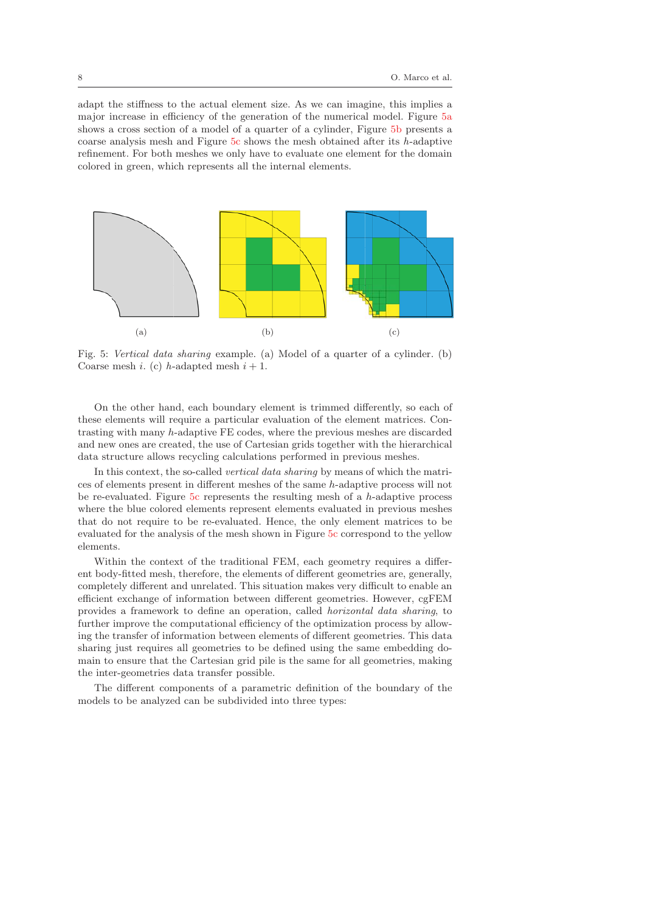adapt the stiffness to the actual element size. As we can imagine, this implies a major increase in efficiency of the generation of the numerical model. Figure 5a shows a cross section of a model of a quarter of a cylinder, Figure 5b presents a coarse analysis mesh and Figure  $5c$  shows the mesh obtained after its h-adaptive refinement. For both meshes we only have to evaluate one element for the domain colored in green, which represents all the internal elements.



Fig. 5: Vertical data sharing example. (a) Model of a quarter of a cylinder. (b) Coarse mesh *i*. (c) *h*-adapted mesh  $i + 1$ .

On the other hand, each boundary element is trimmed differently, so each of these elements will require a particular evaluation of the element matrices. Contrasting with many h-adaptive FE codes, where the previous meshes are discarded and new ones are created, the use of Cartesian grids together with the hierarchical data structure allows recycling calculations performed in previous meshes.

In this context, the so-called vertical data sharing by means of which the matrices of elements present in different meshes of the same h-adaptive process will not be re-evaluated. Figure 5c represents the resulting mesh of a  $h$ -adaptive process where the blue colored elements represent elements evaluated in previous meshes that do not require to be re-evaluated. Hence, the only element matrices to be evaluated for the analysis of the mesh shown in Figure 5c correspond to the yellow elements.

Within the context of the traditional FEM, each geometry requires a different body-fitted mesh, therefore, the elements of different geometries are, generally, completely different and unrelated. This situation makes very difficult to enable an efficient exchange of information between different geometries. However, cgFEM provides a framework to define an operation, called horizontal data sharing, to further improve the computational efficiency of the optimization process by allowing the transfer of information between elements of different geometries. This data sharing just requires all geometries to be defined using the same embedding domain to ensure that the Cartesian grid pile is the same for all geometries, making the inter-geometries data transfer possible.

The different components of a parametric definition of the boundary of the models to be analyzed can be subdivided into three types: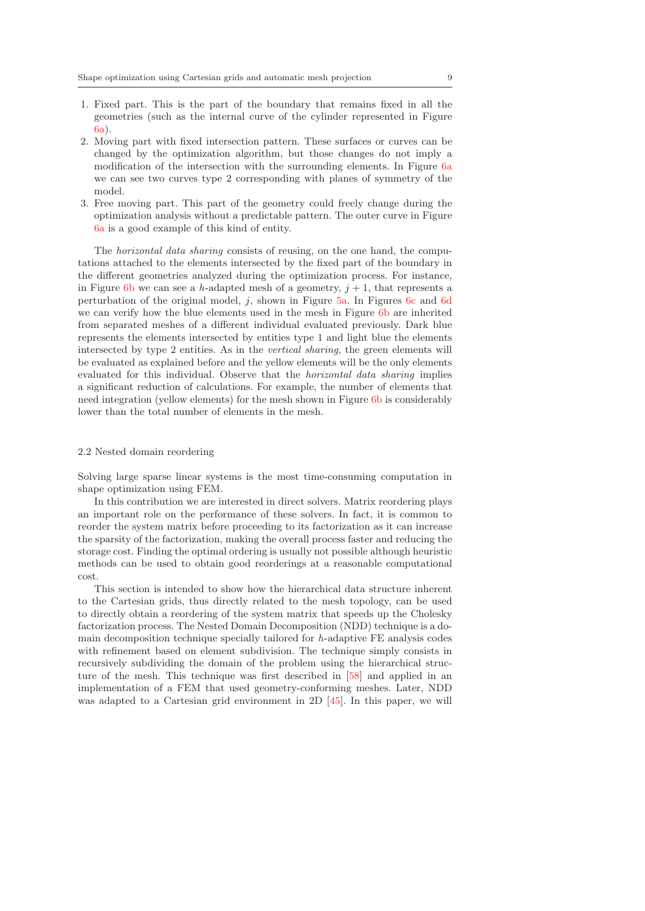- 1. Fixed part. This is the part of the boundary that remains fixed in all the geometries (such as the internal curve of the cylinder represented in Figure 6a).
- 2. Moving part with fixed intersection pattern. These surfaces or curves can be changed by the optimization algorithm, but those changes do not imply a modification of the intersection with the surrounding elements. In Figure 6a we can see two curves type 2 corresponding with planes of symmetry of the model.
- 3. Free moving part. This part of the geometry could freely change during the optimization analysis without a predictable pattern. The outer curve in Figure 6a is a good example of this kind of entity.

The horizontal data sharing consists of reusing, on the one hand, the computations attached to the elements intersected by the fixed part of the boundary in the different geometries analyzed during the optimization process. For instance, in Figure 6b we can see a h-adapted mesh of a geometry,  $j + 1$ , that represents a perturbation of the original model, j, shown in Figure 5a. In Figures 6c and 6d we can verify how the blue elements used in the mesh in Figure 6b are inherited from separated meshes of a different individual evaluated previously. Dark blue represents the elements intersected by entities type 1 and light blue the elements intersected by type 2 entities. As in the vertical sharing, the green elements will be evaluated as explained before and the yellow elements will be the only elements evaluated for this individual. Observe that the horizontal data sharing implies a significant reduction of calculations. For example, the number of elements that need integration (yellow elements) for the mesh shown in Figure 6b is considerably lower than the total number of elements in the mesh.

#### 2.2 Nested domain reordering

Solving large sparse linear systems is the most time-consuming computation in shape optimization using FEM.

In this contribution we are interested in direct solvers. Matrix reordering plays an important role on the performance of these solvers. In fact, it is common to reorder the system matrix before proceeding to its factorization as it can increase the sparsity of the factorization, making the overall process faster and reducing the storage cost. Finding the optimal ordering is usually not possible although heuristic methods can be used to obtain good reorderings at a reasonable computational cost.

This section is intended to show how the hierarchical data structure inherent to the Cartesian grids, thus directly related to the mesh topology, can be used to directly obtain a reordering of the system matrix that speeds up the Cholesky factorization process. The Nested Domain Decomposition (NDD) technique is a domain decomposition technique specially tailored for h-adaptive FE analysis codes with refinement based on element subdivision. The technique simply consists in recursively subdividing the domain of the problem using the hierarchical structure of the mesh. This technique was first described in [58] and applied in an implementation of a FEM that used geometry-conforming meshes. Later, NDD was adapted to a Cartesian grid environment in 2D [45]. In this paper, we will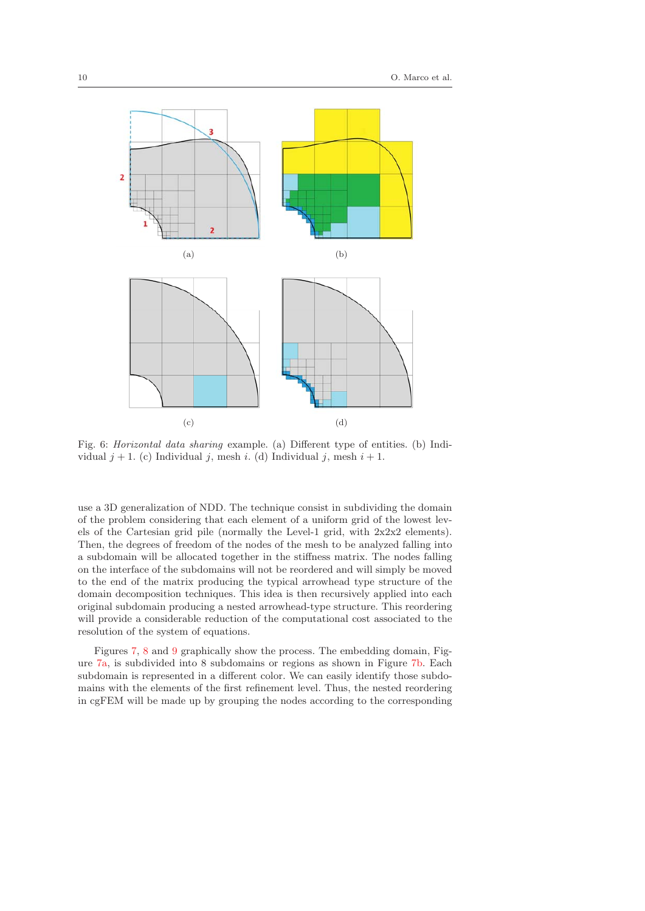

Fig. 6: Horizontal data sharing example. (a) Different type of entities. (b) Individual  $j + 1$ . (c) Individual j, mesh i. (d) Individual j, mesh  $i + 1$ .

use a 3D generalization of NDD. The technique consist in subdividing the domain of the problem considering that each element of a uniform grid of the lowest levels of the Cartesian grid pile (normally the Level-1 grid, with  $2x2x2$  elements). Then, the degrees of freedom of the nodes of the mesh to be analyzed falling into a subdomain will be allocated together in the stiffness matrix. The nodes falling on the interface of the subdomains will not be reordered and will simply be moved to the end of the matrix producing the typical arrowhead type structure of the domain decomposition techniques. This idea is then recursively applied into each original subdomain producing a nested arrowhead-type structure. This reordering will provide a considerable reduction of the computational cost associated to the resolution of the system of equations.

Figures 7, 8 and 9 graphically show the process. The embedding domain, Figure 7a, is subdivided into 8 subdomains or regions as shown in Figure 7b. Each subdomain is represented in a different color. We can easily identify those subdomains with the elements of the first refinement level. Thus, the nested reordering in cgFEM will be made up by grouping the nodes according to the corresponding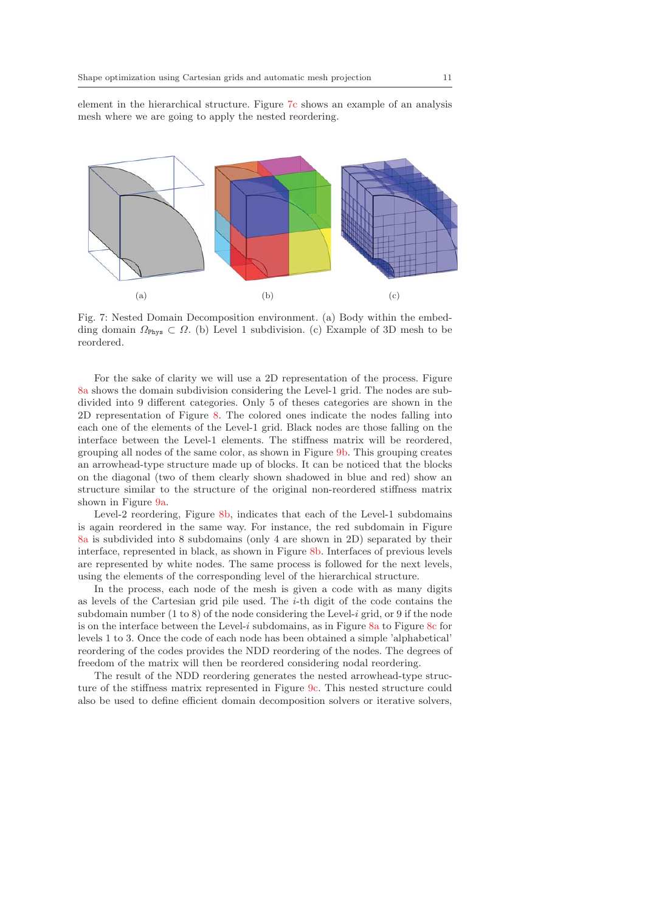element in the hierarchical structure. Figure 7c shows an example of an analysis mesh where we are going to apply the nested reordering.



Fig. 7: Nested Domain Decomposition environment. (a) Body within the embedding domain  $\Omega_{\text{Phys}} \subset \Omega$ . (b) Level 1 subdivision. (c) Example of 3D mesh to be reordered.

For the sake of clarity we will use a 2D representation of the process. Figure 8a shows the domain subdivision considering the Level-1 grid. The nodes are subdivided into 9 different categories. Only 5 of theses categories are shown in the 2D representation of Figure 8. The colored ones indicate the nodes falling into each one of the elements of the Level-1 grid. Black nodes are those falling on the interface between the Level-1 elements. The stiffness matrix will be reordered, grouping all nodes of the same color, as shown in Figure 9b. This grouping creates an arrowhead-type structure made up of blocks. It can be noticed that the blocks on the diagonal (two of them clearly shown shadowed in blue and red) show an structure similar to the structure of the original non-reordered stiffness matrix shown in Figure 9a.

Level-2 reordering, Figure 8b, indicates that each of the Level-1 subdomains is again reordered in the same way. For instance, the red subdomain in Figure 8a is subdivided into 8 subdomains (only 4 are shown in 2D) separated by their interface, represented in black, as shown in Figure 8b. Interfaces of previous levels are represented by white nodes. The same process is followed for the next levels, using the elements of the corresponding level of the hierarchical structure.

In the process, each node of the mesh is given a code with as many digits as levels of the Cartesian grid pile used. The *i*-th digit of the code contains the subdomain number  $(1 \text{ to } 8)$  of the node considering the Level-i grid, or 9 if the node is on the interface between the Level-i subdomains, as in Figure  $8a$  to Figure  $8c$  for levels 1 to 3. Once the code of each node has been obtained a simple 'alphabetical' reordering of the codes provides the NDD reordering of the nodes. The degrees of freedom of the matrix will then be reordered considering nodal reordering.

The result of the NDD reordering generates the nested arrowhead-type structure of the stiffness matrix represented in Figure 9c. This nested structure could also be used to define efficient domain decomposition solvers or iterative solvers,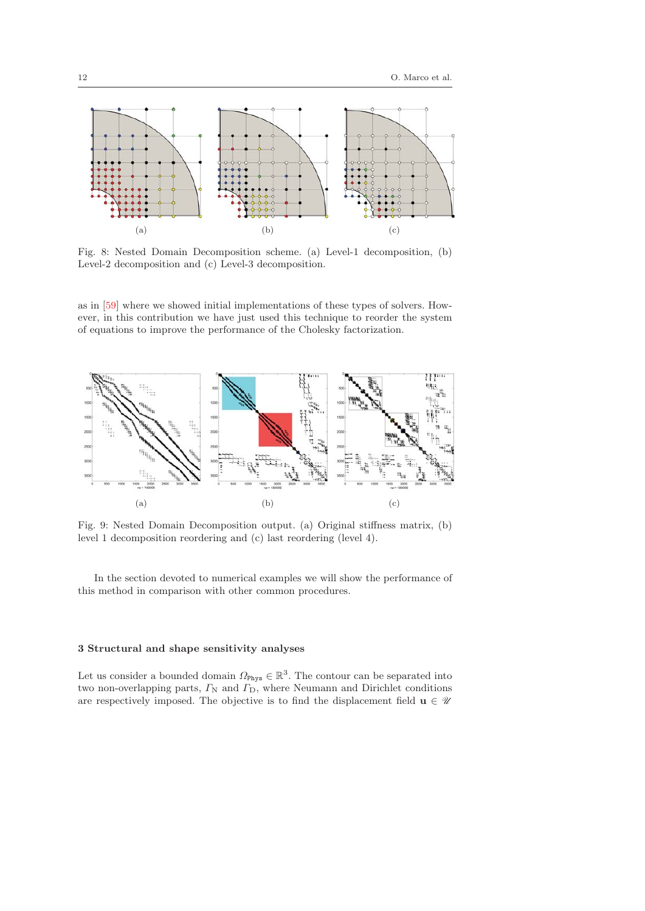

Fig. 8: Nested Domain Decomposition scheme. (a) Level-1 decomposition, (b) Level-2 decomposition and (c) Level-3 decomposition.

as in [59] where we showed initial implementations of these types of solvers. However, in this contribution we have just used this technique to reorder the system of equations to improve the performance of the Cholesky factorization.



Fig. 9: Nested Domain Decomposition output. (a) Original stiffness matrix, (b) level 1 decomposition reordering and (c) last reordering (level 4).

In the section devoted to numerical examples we will show the performance of this method in comparison with other common procedures.

## **3 Structural and shape sensitivity analyses**

Let us consider a bounded domain  $\Omega_{\text{Phys}} \in \mathbb{R}^3$ . The contour can be separated into two non-overlapping parts,  $\Gamma_N$  and  $\Gamma_D$ , where Neumann and Dirichlet conditions are respectively imposed. The objective is to find the displacement field  $\mathbf{u} \in \mathcal{U}$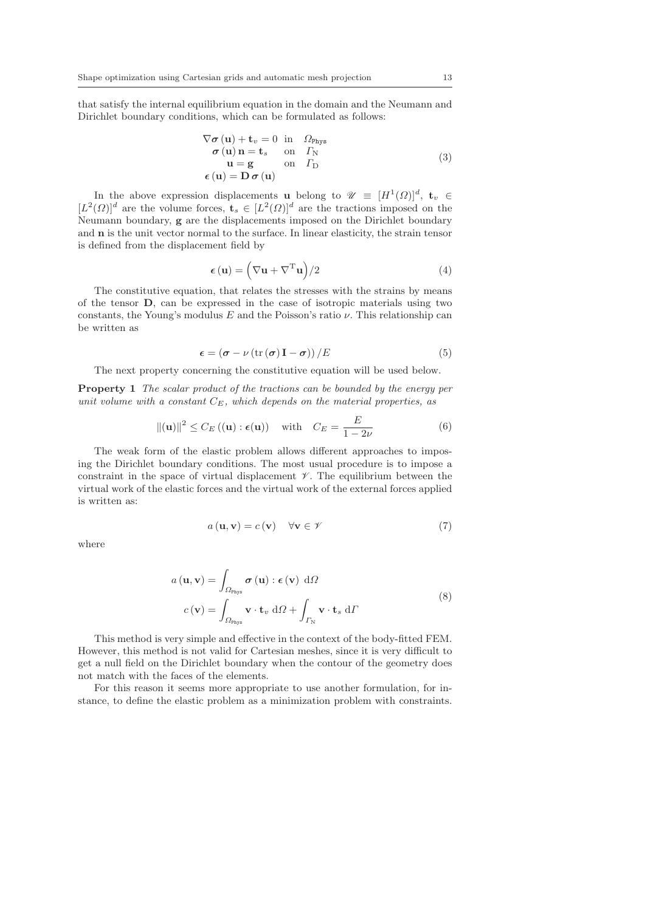that satisfy the internal equilibrium equation in the domain and the Neumann and Dirichlet boundary conditions, which can be formulated as follows:

$$
\nabla \sigma (\mathbf{u}) + \mathbf{t}_{v} = 0 \text{ in } \Omega_{\text{Phys}}\n\sigma (\mathbf{u}) \mathbf{n} = \mathbf{t}_{s} \text{ on } \Gamma_{\text{N}}\n\mathbf{u} = \mathbf{g} \text{ on } \Gamma_{\text{D}}\n\epsilon (\mathbf{u}) = \mathbf{D} \sigma (\mathbf{u})
$$
\n(3)

In the above expression displacements **u** belong to  $\mathscr{U} \equiv [H^1(\Omega)]^d$ , **t**<sub>*v*</sub> ∈  $[L^2(\Omega)]^d$  are the volume forces,  $\mathbf{t}_s \in [L^2(\Omega)]^d$  are the tractions imposed on the Neumann boundary, **g** are the displacements imposed on the Dirichlet boundary and **n** is the unit vector normal to the surface. In linear elasticity, the strain tensor is defined from the displacement field by

$$
\epsilon(\mathbf{u}) = \left(\nabla \mathbf{u} + \nabla^{\mathrm{T}} \mathbf{u}\right) / 2 \tag{4}
$$

The constitutive equation, that relates the stresses with the strains by means of the tensor **D**, can be expressed in the case of isotropic materials using two constants, the Young's modulus E and the Poisson's ratio  $\nu$ . This relationship can be written as

$$
\epsilon = (\sigma - \nu (\text{tr}(\sigma) \mathbf{I} - \sigma)) / E \tag{5}
$$

The next property concerning the constitutive equation will be used below.

**Property 1** The scalar product of the tractions can be bounded by the energy per unit volume with a constant C*E*, which depends on the material properties, as

$$
\|(\mathbf{u})\|^2 \le C_E\left((\mathbf{u}):\epsilon(\mathbf{u})\right) \quad \text{with} \quad C_E = \frac{E}{1 - 2\nu} \tag{6}
$$

The weak form of the elastic problem allows different approaches to imposing the Dirichlet boundary conditions. The most usual procedure is to impose a constraint in the space of virtual displacement  $\mathscr V$ . The equilibrium between the virtual work of the elastic forces and the virtual work of the external forces applied is written as:

$$
a(\mathbf{u}, \mathbf{v}) = c(\mathbf{v}) \quad \forall \mathbf{v} \in \mathscr{V} \tag{7}
$$

where

$$
a(\mathbf{u}, \mathbf{v}) = \int_{\Omega_{\text{Phys}}} \boldsymbol{\sigma}(\mathbf{u}) : \boldsymbol{\epsilon}(\mathbf{v}) \, d\Omega
$$
  

$$
c(\mathbf{v}) = \int_{\Omega_{\text{Phys}}} \mathbf{v} \cdot \mathbf{t}_v \, d\Omega + \int_{\Gamma_{\text{N}}} \mathbf{v} \cdot \mathbf{t}_s \, d\Gamma
$$
 (8)

This method is very simple and effective in the context of the body-fitted FEM. However, this method is not valid for Cartesian meshes, since it is very difficult to get a null field on the Dirichlet boundary when the contour of the geometry does not match with the faces of the elements.

For this reason it seems more appropriate to use another formulation, for instance, to define the elastic problem as a minimization problem with constraints.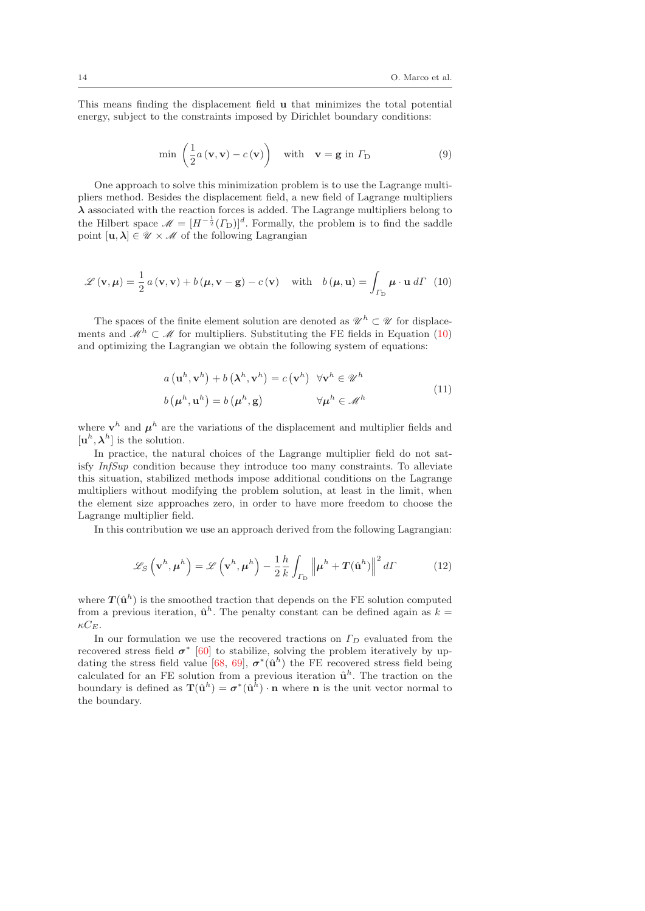This means finding the displacement field **u** that minimizes the total potential energy, subject to the constraints imposed by Dirichlet boundary conditions:

$$
\min\left(\frac{1}{2}a\left(\mathbf{v},\mathbf{v}\right)-c\left(\mathbf{v}\right)\right) \quad \text{with} \quad \mathbf{v}=\mathbf{g} \text{ in } \Gamma_{\mathcal{D}} \tag{9}
$$

One approach to solve this minimization problem is to use the Lagrange multipliers method. Besides the displacement field, a new field of Lagrange multipliers  $\lambda$  associated with the reaction forces is added. The Lagrange multipliers belong to the Hilbert space  $\mathscr{M} = [H^{-\frac{1}{2}}(\Gamma_{D})]^{d}$ . Formally, the problem is to find the saddle point  $[\mathbf{u}, \lambda] \in \mathcal{U} \times \mathcal{M}$  of the following Lagrangian

$$
\mathcal{L}(\mathbf{v}, \boldsymbol{\mu}) = \frac{1}{2} a(\mathbf{v}, \mathbf{v}) + b(\boldsymbol{\mu}, \mathbf{v} - \mathbf{g}) - c(\mathbf{v}) \quad \text{with} \quad b(\boldsymbol{\mu}, \mathbf{u}) = \int_{\Gamma_{\mathbf{D}}} \boldsymbol{\mu} \cdot \mathbf{u} \, d\Gamma \tag{10}
$$

The spaces of the finite element solution are denoted as  $\mathscr{U}^h \subset \mathscr{U}$  for displacements and  $\mathcal{M}^h \subset \mathcal{M}$  for multipliers. Substituting the FE fields in Equation (10) and optimizing the Lagrangian we obtain the following system of equations:

$$
a(\mathbf{u}^h, \mathbf{v}^h) + b(\lambda^h, \mathbf{v}^h) = c(\mathbf{v}^h) \quad \forall \mathbf{v}^h \in \mathcal{U}^h
$$
  
\n
$$
b(\mu^h, \mathbf{u}^h) = b(\mu^h, \mathbf{g}) \qquad \forall \mu^h \in \mathcal{M}^h
$$
 (11)

where  $\mathbf{v}^h$  and  $\mu^h$  are the variations of the displacement and multiplier fields and  $[\mathbf{u}^h, \boldsymbol{\lambda}^h]$  is the solution.

In practice, the natural choices of the Lagrange multiplier field do not satisfy InfSup condition because they introduce too many constraints. To alleviate this situation, stabilized methods impose additional conditions on the Lagrange multipliers without modifying the problem solution, at least in the limit, when the element size approaches zero, in order to have more freedom to choose the Lagrange multiplier field.

In this contribution we use an approach derived from the following Lagrangian:

$$
\mathcal{L}_S\left(\mathbf{v}^h, \boldsymbol{\mu}^h\right) = \mathcal{L}\left(\mathbf{v}^h, \boldsymbol{\mu}^h\right) - \frac{1}{2} \frac{h}{k} \int_{\Gamma_{\rm D}} \left\|\boldsymbol{\mu}^h + \boldsymbol{T}(\hat{\mathbf{u}}^h)\right\|^2 d\Gamma \tag{12}
$$

where  $T(\hat{u}^h)$  is the smoothed traction that depends on the FE solution computed from a previous iteration,  $\hat{\mathbf{u}}^h$ . The penalty constant can be defined again as  $k =$  $\kappa C_E$ .

In our formulation we use the recovered tractions on Γ*<sup>D</sup>* evaluated from the recovered stress field  $\sigma^*$  [60] to stabilize, solving the problem iteratively by updating the stress field value [68, 69],  $\sigma^*(\hat{\mathbf{u}}^h)$  the FE recovered stress field being calculated for an FE solution from a previous iteration  $\hat{\mathbf{u}}^h$ . The traction on the boundary is defined as  $\mathbf{T}(\hat{\mathbf{u}}^h) = \sigma^*(\hat{\mathbf{u}}^{\hat{h}}) \cdot \mathbf{n}$  where **n** is the unit vector normal to the boundary.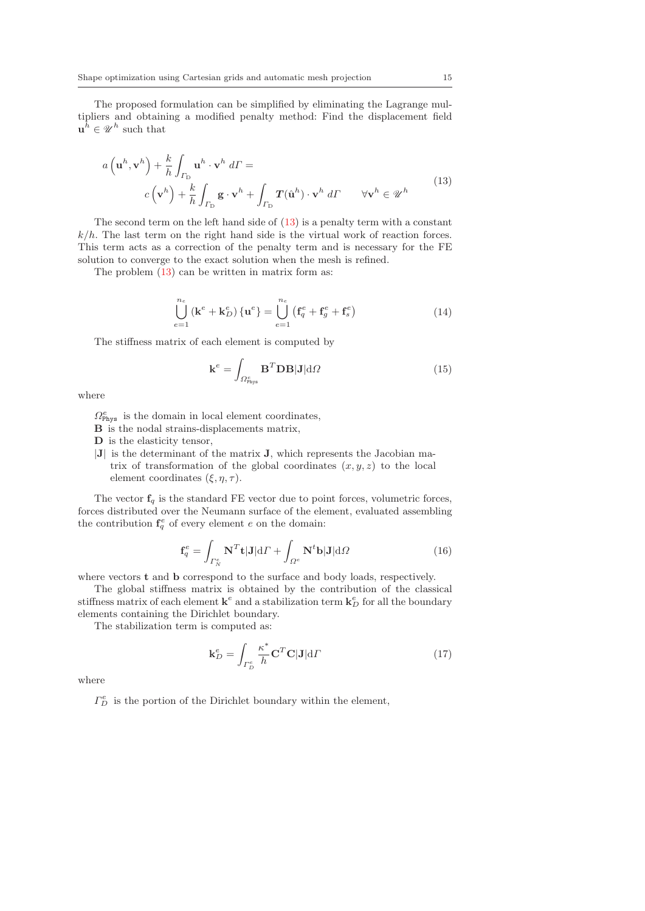The proposed formulation can be simplified by eliminating the Lagrange multipliers and obtaining a modified penalty method: Find the displacement field  $\mathbf{u}^{\hat{h}} \in \mathcal{U}^{h}$  such that

$$
a\left(\mathbf{u}^{h}, \mathbf{v}^{h}\right) + \frac{k}{h} \int_{\Gamma_{\mathcal{D}}} \mathbf{u}^{h} \cdot \mathbf{v}^{h} d\Gamma =
$$
\n
$$
c\left(\mathbf{v}^{h}\right) + \frac{k}{h} \int_{\Gamma_{\mathcal{D}}} \mathbf{g} \cdot \mathbf{v}^{h} + \int_{\Gamma_{\mathcal{D}}} \mathbf{T}(\hat{\mathbf{u}}^{h}) \cdot \mathbf{v}^{h} d\Gamma \qquad \forall \mathbf{v}^{h} \in \mathcal{U}^{h}
$$
\n(13)

The second term on the left hand side of (13) is a penalty term with a constant  $k/h$ . The last term on the right hand side is the virtual work of reaction forces. This term acts as a correction of the penalty term and is necessary for the FE solution to converge to the exact solution when the mesh is refined.

The problem (13) can be written in matrix form as:

$$
\bigcup_{e=1}^{n_e} (\mathbf{k}^e + \mathbf{k}_D^e) \{ \mathbf{u}^e \} = \bigcup_{e=1}^{n_e} (\mathbf{f}_q^e + \mathbf{f}_g^e + \mathbf{f}_s^e)
$$
 (14)

The stiffness matrix of each element is computed by

$$
\mathbf{k}^{e} = \int_{\Omega_{\text{Phys}}^{e}} \mathbf{B}^{T} \mathbf{D} \mathbf{B} | \mathbf{J} | d\Omega \tag{15}
$$

where

- $\Omega_{\text{Phys}}^e$  is the domain in local element coordinates,
- **B** is the nodal strains-displacements matrix,
- **D** is the elasticity tensor,
- |**J**| is the determinant of the matrix **J**, which represents the Jacobian matrix of transformation of the global coordinates  $(x, y, z)$  to the local element coordinates  $(\xi, \eta, \tau)$ .

The vector  $f_q$  is the standard FE vector due to point forces, volumetric forces, forces distributed over the Neumann surface of the element, evaluated assembling the contribution  $f_q^e$  of every element e on the domain:

$$
\mathbf{f}_q^e = \int_{\Gamma_N^e} \mathbf{N}^T \mathbf{t} | \mathbf{J} | d\Gamma + \int_{\Omega^e} \mathbf{N}^t \mathbf{b} | \mathbf{J} | d\Omega \tag{16}
$$

where vectors **t** and **b** correspond to the surface and body loads, respectively.

The global stiffness matrix is obtained by the contribution of the classical stiffness matrix of each element  $\mathbf{k}^e$  and a stabilization term  $\mathbf{k}_D^e$  for all the boundary elements containing the Dirichlet boundary.

The stabilization term is computed as:

$$
\mathbf{k}_D^e = \int_{\Gamma_D^e} \frac{\kappa^*}{h} \mathbf{C}^T \mathbf{C} |\mathbf{J}| \mathrm{d} \Gamma \tag{17}
$$

where

 $\Gamma_D^e$  is the portion of the Dirichlet boundary within the element,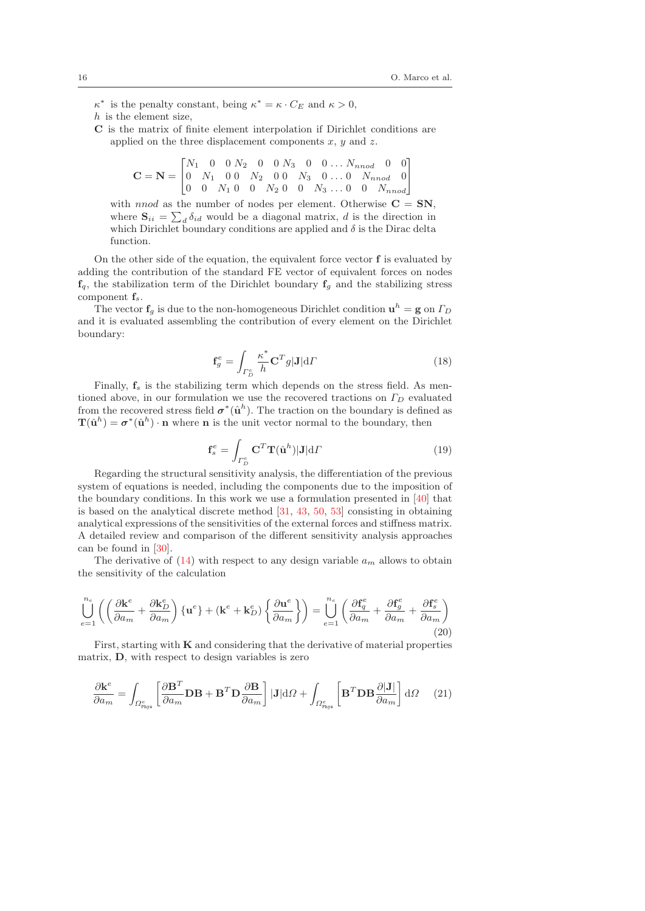$\kappa^*$  is the penalty constant, being  $\kappa^* = \kappa \cdot C_E$  and  $\kappa > 0$ ,

- h is the element size,
- **C** is the matrix of finite element interpolation if Dirichlet conditions are applied on the three displacement components  $x, y$  and  $z$ .

$$
\mathbf{C} = \mathbf{N} = \begin{bmatrix} N_1 & 0 & 0 & N_2 & 0 & 0 & N_3 & 0 & 0 & \dots & N_{nnod} & 0 & 0 \\ 0 & N_1 & 0 & 0 & N_2 & 0 & 0 & N_3 & 0 & \dots & 0 & N_{nnod} & 0 \\ 0 & 0 & N_1 & 0 & 0 & N_2 & 0 & 0 & N_3 & \dots & 0 & 0 & N_{nnod} \end{bmatrix}
$$

with *nnod* as the number of nodes per element. Otherwise  $C = SN$ , where  $S_{ii} = \sum_{d} \delta_{id}$  would be a diagonal matrix, d is the direction in which Dirichlet boundary conditions are applied and  $\delta$  is the Dirac delta function.

On the other side of the equation, the equivalent force vector **f** is evaluated by adding the contribution of the standard FE vector of equivalent forces on nodes  $f_q$ , the stabilization term of the Dirichlet boundary  $f_g$  and the stabilizing stress component **f***s*.

The vector  $f_g$  is due to the non-homogeneous Dirichlet condition  $\mathbf{u}^h = \mathbf{g}$  on  $\Gamma_D$ and it is evaluated assembling the contribution of every element on the Dirichlet boundary:

$$
\mathbf{f}_g^e = \int_{\Gamma_D^e} \frac{\kappa^*}{h} \mathbf{C}^T g |\mathbf{J}| \mathrm{d}\Gamma \tag{18}
$$

Finally,  $f_s$  is the stabilizing term which depends on the stress field. As mentioned above, in our formulation we use the recovered tractions on  $\Gamma_D$  evaluated from the recovered stress field  $\sigma^*(\hat{\mathbf{u}}^h)$ . The traction on the boundary is defined as  $\mathbf{T}(\hat{\mathbf{u}}^h) = \sigma^*(\hat{\mathbf{u}}^h) \cdot \mathbf{n}$  where **n** is the unit vector normal to the boundary, then

$$
\mathbf{f}_s^e = \int_{\Gamma_D^e} \mathbf{C}^T \mathbf{T}(\hat{\mathbf{u}}^h) |\mathbf{J}| \mathrm{d} \Gamma \tag{19}
$$

Regarding the structural sensitivity analysis, the differentiation of the previous system of equations is needed, including the components due to the imposition of the boundary conditions. In this work we use a formulation presented in [40] that is based on the analytical discrete method [31, 43, 50, 53] consisting in obtaining analytical expressions of the sensitivities of the external forces and stiffness matrix. A detailed review and comparison of the different sensitivity analysis approaches can be found in [30].

The derivative of  $(14)$  with respect to any design variable  $a_m$  allows to obtain the sensitivity of the calculation

$$
\bigcup_{e=1}^{n_e} \left( \left( \frac{\partial \mathbf{k}^e}{\partial a_m} + \frac{\partial \mathbf{k}_D^e}{\partial a_m} \right) \{ \mathbf{u}^e \} + (\mathbf{k}^e + \mathbf{k}_D^e) \left\{ \frac{\partial \mathbf{u}^e}{\partial a_m} \right\} \right) = \bigcup_{e=1}^{n_e} \left( \frac{\partial \mathbf{f}_q^e}{\partial a_m} + \frac{\partial \mathbf{f}_s^e}{\partial a_m} + \frac{\partial \mathbf{f}_s^e}{\partial a_m} \right) \tag{20}
$$

First, starting with **K** and considering that the derivative of material properties matrix, **D**, with respect to design variables is zero

$$
\frac{\partial \mathbf{k}^e}{\partial a_m} = \int_{\Omega_{\text{Phys}}^e} \left[ \frac{\partial \mathbf{B}^T}{\partial a_m} \mathbf{D} \mathbf{B} + \mathbf{B}^T \mathbf{D} \frac{\partial \mathbf{B}}{\partial a_m} \right] |\mathbf{J}| \mathrm{d}\Omega + \int_{\Omega_{\text{Phys}}^e} \left[ \mathbf{B}^T \mathbf{D} \mathbf{B} \frac{\partial |\mathbf{J}|}{\partial a_m} \right] \mathrm{d}\Omega \tag{21}
$$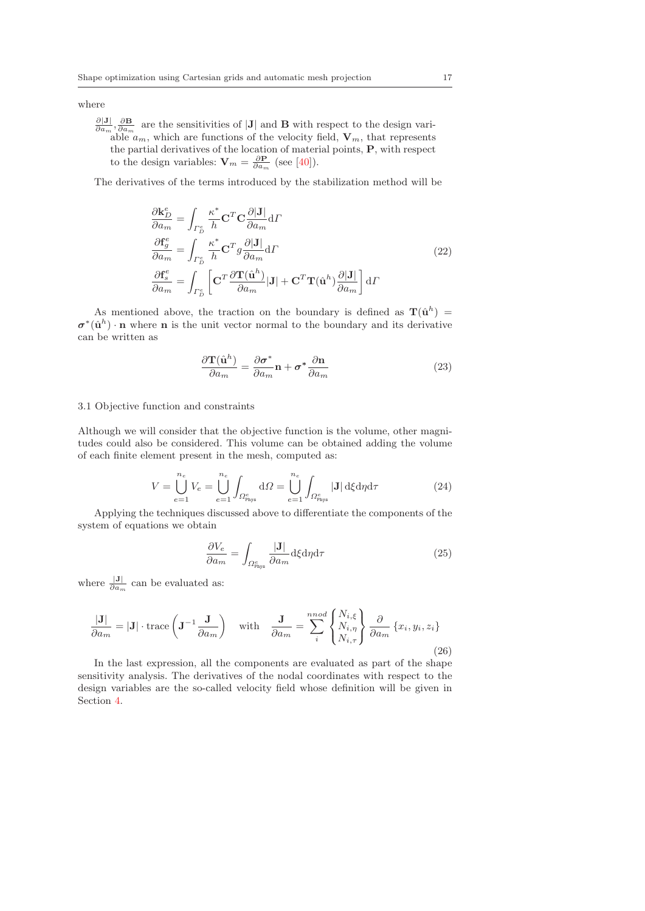where

 $\frac{\partial |\mathbf{J}|}{\partial a_m}$ ,  $\frac{\partial \mathbf{B}}{\partial a_m}$  are the sensitivities of |**J**| and **B** with respect to the design variable  $a_m$ , which are functions of the velocity field,  $\mathbf{V}_m$ , that represents the partial derivatives of the location of material points, **P**, with respect to the design variables:  $\mathbf{V}_m = \frac{\partial \mathbf{P}}{\partial a_m}$  (see [40]).

The derivatives of the terms introduced by the stabilization method will be

$$
\frac{\partial \mathbf{k}_{D}^{e}}{\partial a_{m}} = \int_{\Gamma_{D}^{e}} \frac{\kappa^{*}}{h} \mathbf{C}^{T} \mathbf{C} \frac{\partial |\mathbf{J}|}{\partial a_{m}} d\Gamma
$$
\n
$$
\frac{\partial \mathbf{f}_{g}^{e}}{\partial a_{m}} = \int_{\Gamma_{D}^{e}} \frac{\kappa^{*}}{h} \mathbf{C}^{T} g \frac{\partial |\mathbf{J}|}{\partial a_{m}} d\Gamma
$$
\n
$$
\frac{\partial \mathbf{f}_{s}^{e}}{\partial a_{m}} = \int_{\Gamma_{D}^{e}} \left[ \mathbf{C}^{T} \frac{\partial \mathbf{T}(\hat{\mathbf{u}}^{h})}{\partial a_{m}} |\mathbf{J}| + \mathbf{C}^{T} \mathbf{T}(\hat{\mathbf{u}}^{h}) \frac{\partial |\mathbf{J}|}{\partial a_{m}} \right] d\Gamma
$$
\n(22)

As mentioned above, the traction on the boundary is defined as  $\mathbf{T}(\hat{\mathbf{u}}^h)$  $\sigma^*(\hat{\mathbf{u}}^h) \cdot \mathbf{n}$  where **n** is the unit vector normal to the boundary and its derivative can be written as

$$
\frac{\partial \mathbf{T}(\hat{\mathbf{u}}^h)}{\partial a_m} = \frac{\partial \sigma^*}{\partial a_m} \mathbf{n} + \sigma^* \frac{\partial \mathbf{n}}{\partial a_m}
$$
(23)

#### 3.1 Objective function and constraints

Although we will consider that the objective function is the volume, other magnitudes could also be considered. This volume can be obtained adding the volume of each finite element present in the mesh, computed as:

$$
V = \bigcup_{e=1}^{n_e} V_e = \bigcup_{e=1}^{n_e} \int_{\Omega_{\text{Phys}}^e} d\Omega = \bigcup_{e=1}^{n_e} \int_{\Omega_{\text{Phys}}^e} |\mathbf{J}| \, d\xi d\eta d\tau \tag{24}
$$

Applying the techniques discussed above to differentiate the components of the system of equations we obtain

$$
\frac{\partial V_e}{\partial a_m} = \int_{\Omega_{\text{phys}}^e} \frac{|\mathbf{J}|}{\partial a_m} \, \mathrm{d}\xi \, \mathrm{d}\eta \, \mathrm{d}\tau \tag{25}
$$

where  $\frac{|\mathbf{J}|}{\partial a_m}$  can be evaluated as:

$$
\frac{|\mathbf{J}|}{\partial a_m} = |\mathbf{J}| \cdot \text{trace}\left(\mathbf{J}^{-1} \frac{\mathbf{J}}{\partial a_m}\right) \quad \text{with} \quad \frac{\mathbf{J}}{\partial a_m} = \sum_{i}^{n \text{nod}} \begin{Bmatrix} N_{i,\xi} \\ N_{i,\eta} \\ N_{i,\tau} \end{Bmatrix} \frac{\partial}{\partial a_m} \{x_i, y_i, z_i\}
$$
\n(26)

\nIn the last expression, all the components are evaluated as part of the chosen.

In the last expression, all the components are evaluated as part of the shape sensitivity analysis. The derivatives of the nodal coordinates with respect to the design variables are the so-called velocity field whose definition will be given in Section 4.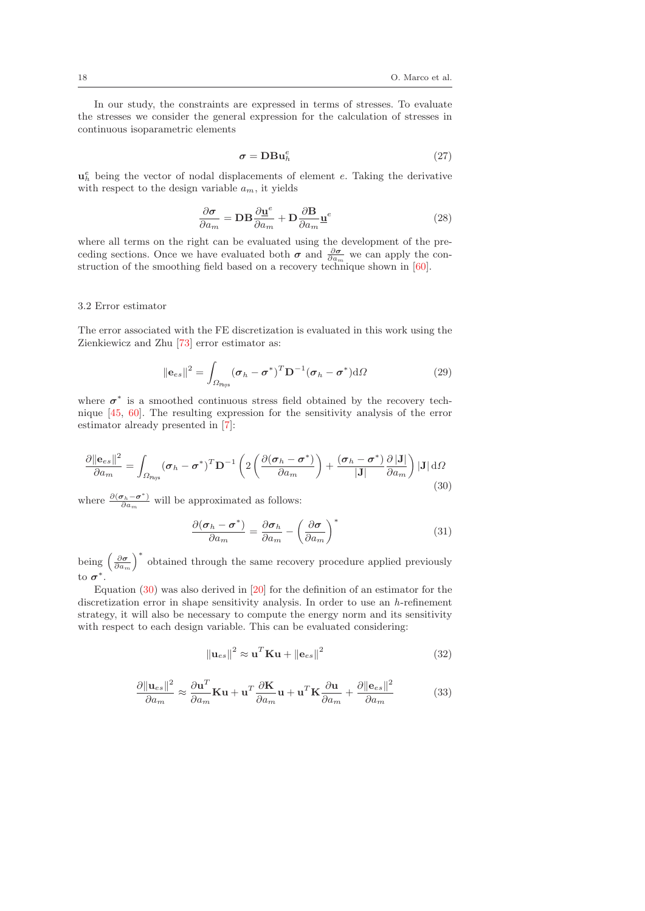In our study, the constraints are expressed in terms of stresses. To evaluate the stresses we consider the general expression for the calculation of stresses in continuous isoparametric elements

$$
\sigma = \mathbf{DBu}_h^e \tag{27}
$$

 $\mathbf{u}_h^e$  being the vector of nodal displacements of element e. Taking the derivative with respect to the design variable  $a_m$ , it yields

$$
\frac{\partial \sigma}{\partial a_m} = \mathbf{D} \mathbf{B} \frac{\partial \mathbf{u}^e}{\partial a_m} + \mathbf{D} \frac{\partial \mathbf{B}}{\partial a_m} \mathbf{u}^e
$$
 (28)

where all terms on the right can be evaluated using the development of the preceding sections. Once we have evaluated both  $\sigma$  and  $\frac{\partial \sigma}{\partial a_m}$  we can apply the construction of the smoothing field based on a recovery technique shown in  $[60]$ .

#### 3.2 Error estimator

The error associated with the FE discretization is evaluated in this work using the Zienkiewicz and Zhu [73] error estimator as:

$$
\|\mathbf{e}_{es}\|^2 = \int_{\Omega_{\text{Phys}}} (\boldsymbol{\sigma}_h - \boldsymbol{\sigma}^*)^T \mathbf{D}^{-1} (\boldsymbol{\sigma}_h - \boldsymbol{\sigma}^*) d\Omega \tag{29}
$$

where  $\sigma^*$  is a smoothed continuous stress field obtained by the recovery technique [45, 60]. The resulting expression for the sensitivity analysis of the error estimator already presented in [7]:

$$
\frac{\partial ||\mathbf{e}_{es}||^2}{\partial a_m} = \int_{\Omega_{\text{Phys}}} (\boldsymbol{\sigma}_h - \boldsymbol{\sigma}^*)^T \mathbf{D}^{-1} \left( 2 \left( \frac{\partial (\boldsymbol{\sigma}_h - \boldsymbol{\sigma}^*)}{\partial a_m} \right) + \frac{(\boldsymbol{\sigma}_h - \boldsymbol{\sigma}^*)}{|\mathbf{J}|} \frac{\partial |\mathbf{J}|}{\partial a_m} \right) |\mathbf{J}| \, d\Omega
$$
\n(30)

where  $\frac{\partial(\sigma_h - \sigma^*)}{\partial a_m}$  will be approximated as follows:

$$
\frac{\partial(\boldsymbol{\sigma}_h - \boldsymbol{\sigma}^*)}{\partial a_m} = \frac{\partial \boldsymbol{\sigma}_h}{\partial a_m} - \left(\frac{\partial \boldsymbol{\sigma}}{\partial a_m}\right)^*
$$
(31)

being  $\left(\frac{\partial \sigma}{\partial a_m}\right)^*$  obtained through the same recovery procedure applied previously to *σ*∗.

Equation  $(30)$  was also derived in  $[20]$  for the definition of an estimator for the discretization error in shape sensitivity analysis. In order to use an h-refinement strategy, it will also be necessary to compute the energy norm and its sensitivity with respect to each design variable. This can be evaluated considering:

$$
\|\mathbf{u}_{es}\|^2 \approx \mathbf{u}^T \mathbf{K} \mathbf{u} + \|\mathbf{e}_{es}\|^2 \tag{32}
$$

$$
\frac{\partial \|\mathbf{u}_{es}\|^2}{\partial a_m} \approx \frac{\partial \mathbf{u}^T}{\partial a_m} \mathbf{K} \mathbf{u} + \mathbf{u}^T \frac{\partial \mathbf{K}}{\partial a_m} \mathbf{u} + \mathbf{u}^T \mathbf{K} \frac{\partial \mathbf{u}}{\partial a_m} + \frac{\partial \|\mathbf{e}_{es}\|^2}{\partial a_m}
$$
(33)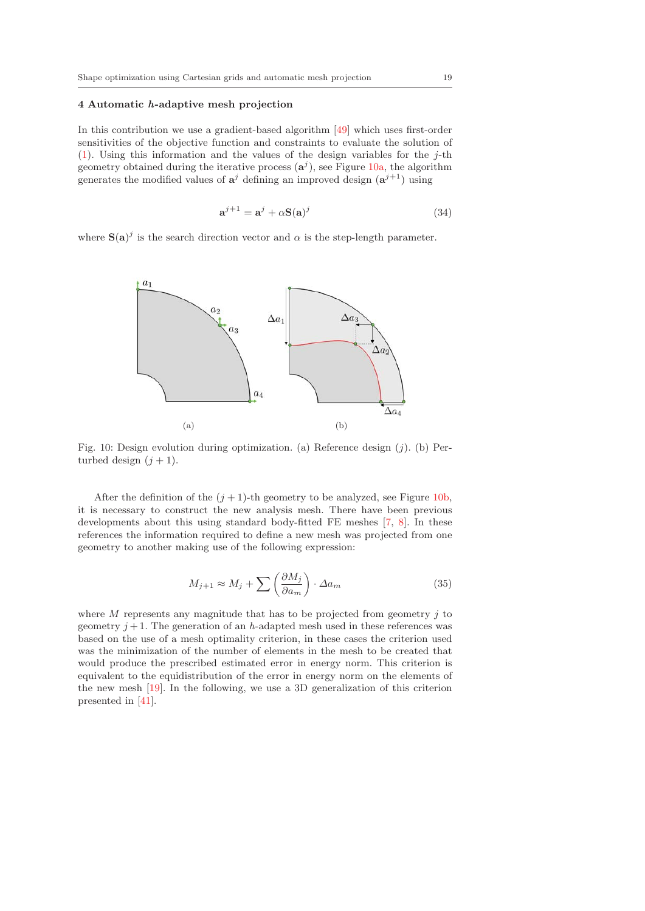#### **4 Automatic** *h***-adaptive mesh projection**

In this contribution we use a gradient-based algorithm [49] which uses first-order sensitivities of the objective function and constraints to evaluate the solution of (1). Using this information and the values of the design variables for the  $j$ -th geometry obtained during the iterative process  $(\mathbf{a}^j)$ , see Figure 10a, the algorithm generates the modified values of  $a^j$  defining an improved design  $(a^{j+1})$  using

$$
\mathbf{a}^{j+1} = \mathbf{a}^j + \alpha \mathbf{S}(\mathbf{a})^j \tag{34}
$$

where  $S(a)^j$  is the search direction vector and  $\alpha$  is the step-length parameter.



Fig. 10: Design evolution during optimization. (a) Reference design  $(j)$ . (b) Perturbed design  $(j + 1)$ .

After the definition of the  $(j + 1)$ -th geometry to be analyzed, see Figure 10b, it is necessary to construct the new analysis mesh. There have been previous developments about this using standard body-fitted FE meshes [7, 8]. In these references the information required to define a new mesh was projected from one geometry to another making use of the following expression:

$$
M_{j+1} \approx M_j + \sum \left(\frac{\partial M_j}{\partial a_m}\right) \cdot \Delta a_m \tag{35}
$$

where  $M$  represents any magnitude that has to be projected from geometry  $j$  to geometry  $j + 1$ . The generation of an h-adapted mesh used in these references was based on the use of a mesh optimality criterion, in these cases the criterion used was the minimization of the number of elements in the mesh to be created that would produce the prescribed estimated error in energy norm. This criterion is equivalent to the equidistribution of the error in energy norm on the elements of the new mesh [19]. In the following, we use a 3D generalization of this criterion presented in [41].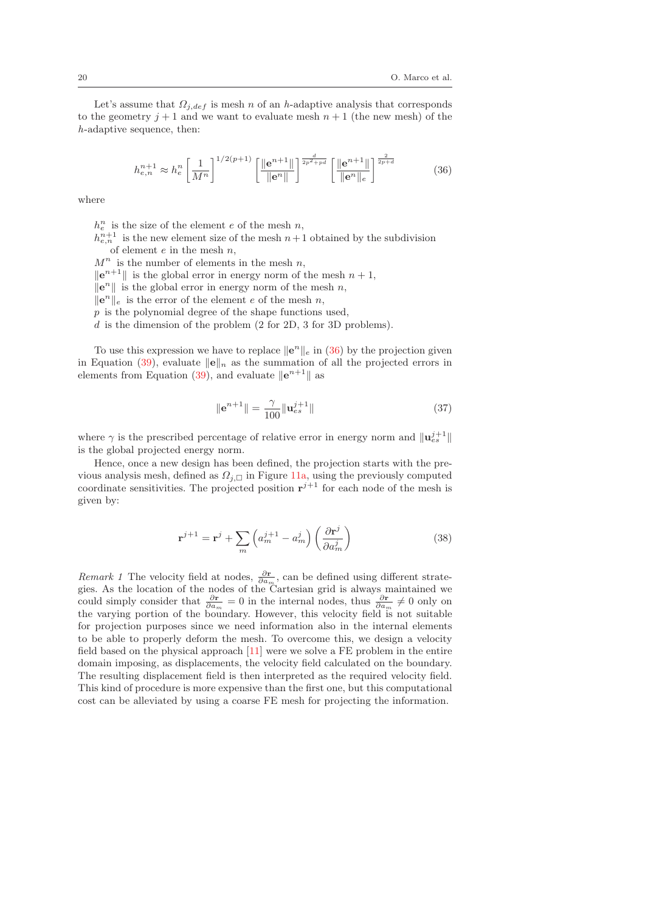Let's assume that  $\Omega_{j,def}$  is mesh n of an h-adaptive analysis that corresponds to the geometry  $j + 1$  and we want to evaluate mesh  $n + 1$  (the new mesh) of the h-adaptive sequence, then:

$$
h_{e,n}^{n+1} \approx h_e^n \left[ \frac{1}{M^n} \right]^{1/2(p+1)} \left[ \frac{\| \mathbf{e}^{n+1} \|}{\| \mathbf{e}^n \|} \right]^{\frac{d}{2p^2 + pd}} \left[ \frac{\| \mathbf{e}^{n+1} \|}{\| \mathbf{e}^n \|_e} \right]^{\frac{2}{2p+d}} \tag{36}
$$

where

 $h_e^n$  is the size of the element e of the mesh n,

 $h_{e,n}^{n+1}$  is the new element size of the mesh  $n+1$  obtained by the subdivision of element  $e$  in the mesh  $n$ ,

 $M^n$  is the number of elements in the mesh  $n$ ,

 $\|\mathbf{e}^{n+1}\|$  is the global error in energy norm of the mesh  $n+1$ ,

 $\|\mathbf{e}^n\|$  is the global error in energy norm of the mesh n,

 $\|\mathbf{e}^n\|_e$  is the error of the element e of the mesh n,

 $p$  is the polynomial degree of the shape functions used,

d is the dimension of the problem (2 for 2D, 3 for 3D problems).

To use this expression we have to replace  $\|\mathbf{e}^n\|_e$  in (36) by the projection given in Equation (39), evaluate  $\|\mathbf{e}\|_n$  as the summation of all the projected errors in elements from Equation (39), and evaluate  $\|\mathbf{e}^{n+1}\|$  as

$$
\|\mathbf{e}^{n+1}\| = \frac{\gamma}{100} \|\mathbf{u}_{es}^{j+1}\|
$$
\n(37)

where  $\gamma$  is the prescribed percentage of relative error in energy norm and  $\|\mathbf{u}_{es}^{j+1}\|$ is the global projected energy norm.

Hence, once a new design has been defined, the projection starts with the previous analysis mesh, defined as  $\Omega_{j,\square}$  in Figure 11a, using the previously computed coordinate sensitivities. The projected position  $\mathbf{r}^{j+1}$  for each node of the mesh is given by:

$$
\mathbf{r}^{j+1} = \mathbf{r}^j + \sum_m \left( a_m^{j+1} - a_m^j \right) \left( \frac{\partial \mathbf{r}^j}{\partial a_m^j} \right) \tag{38}
$$

*Remark 1* The velocity field at nodes,  $\frac{\partial \mathbf{r}}{\partial a_m}$ , can be defined using different strategies. As the location of the nodes of the Cartesian grid is always maintained we could simply consider that  $\frac{\partial \mathbf{r}}{\partial a_m} = 0$  in the internal nodes, thus  $\frac{\partial \mathbf{r}}{\partial a_m} \neq 0$  only on the varying portion of the boundary. However, this velocity field is not suitable for projection purposes since we need information also in the internal elements to be able to properly deform the mesh. To overcome this, we design a velocity field based on the physical approach [11] were we solve a FE problem in the entire domain imposing, as displacements, the velocity field calculated on the boundary. The resulting displacement field is then interpreted as the required velocity field. This kind of procedure is more expensive than the first one, but this computational cost can be alleviated by using a coarse FE mesh for projecting the information.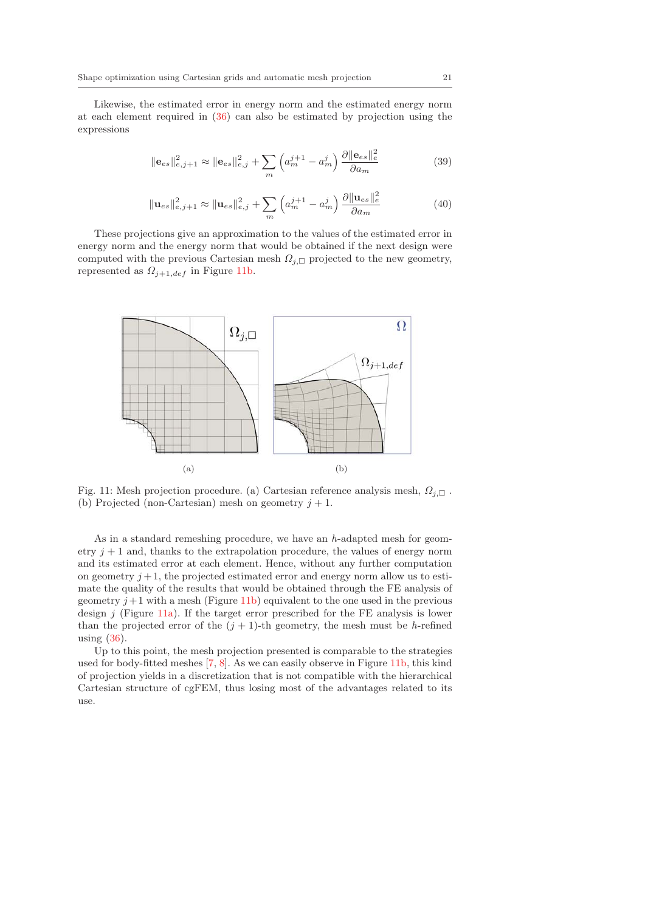Likewise, the estimated error in energy norm and the estimated energy norm at each element required in (36) can also be estimated by projection using the expressions

$$
\|\mathbf{e}_{es}\|_{e,j+1}^2 \approx \|\mathbf{e}_{es}\|_{e,j}^2 + \sum_m \left(a_m^{j+1} - a_m^j\right) \frac{\partial \|\mathbf{e}_{es}\|_e^2}{\partial a_m} \tag{39}
$$

$$
\|\mathbf{u}_{es}\|_{e,j+1}^2 \approx \|\mathbf{u}_{es}\|_{e,j}^2 + \sum_{m} \left(a_m^{j+1} - a_m^j\right) \frac{\partial \|\mathbf{u}_{es}\|_e^2}{\partial a_m}
$$
(40)

These projections give an approximation to the values of the estimated error in energy norm and the energy norm that would be obtained if the next design were computed with the previous Cartesian mesh  $\Omega_{j,\square}$  projected to the new geometry, represented as  $\Omega_{j+1,def}$  in Figure 11b.



Fig. 11: Mesh projection procedure. (a) Cartesian reference analysis mesh,  $\Omega_{j,\square}$ . (b) Projected (non-Cartesian) mesh on geometry  $j + 1$ .

As in a standard remeshing procedure, we have an h-adapted mesh for geometry  $j + 1$  and, thanks to the extrapolation procedure, the values of energy norm and its estimated error at each element. Hence, without any further computation on geometry  $j+1$ , the projected estimated error and energy norm allow us to estimate the quality of the results that would be obtained through the FE analysis of geometry  $j+1$  with a mesh (Figure 11b) equivalent to the one used in the previous design  $j$  (Figure 11a). If the target error prescribed for the FE analysis is lower than the projected error of the  $(j + 1)$ -th geometry, the mesh must be h-refined using (36).

Up to this point, the mesh projection presented is comparable to the strategies used for body-fitted meshes [7, 8]. As we can easily observe in Figure 11b, this kind of projection yields in a discretization that is not compatible with the hierarchical Cartesian structure of cgFEM, thus losing most of the advantages related to its use.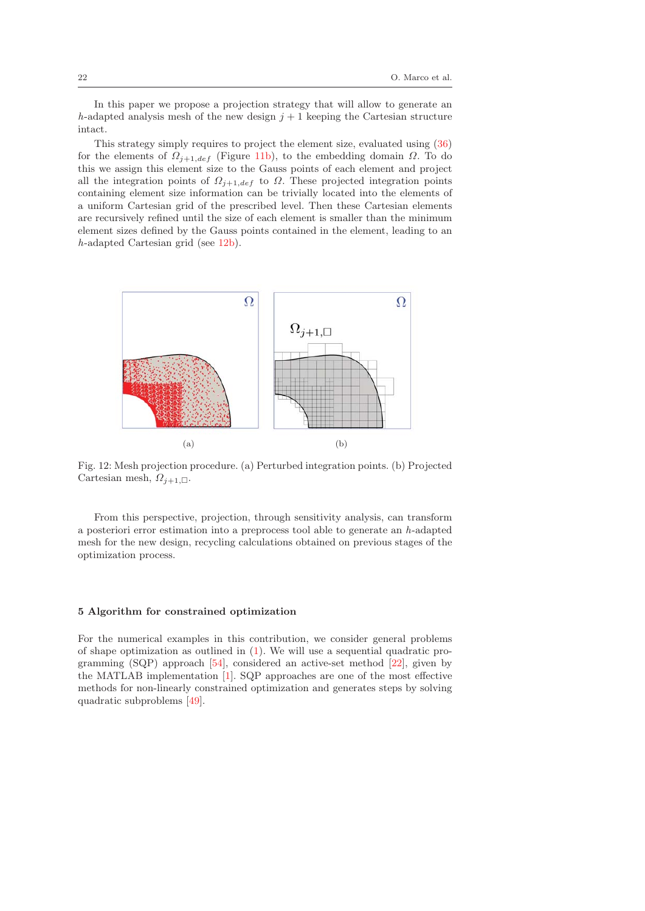In this paper we propose a projection strategy that will allow to generate an h-adapted analysis mesh of the new design  $j + 1$  keeping the Cartesian structure intact.

This strategy simply requires to project the element size, evaluated using (36) for the elements of  $\Omega_{j+1,def}$  (Figure 11b), to the embedding domain  $\Omega$ . To do this we assign this element size to the Gauss points of each element and project all the integration points of  $\Omega_{j+1,def}$  to  $\Omega$ . These projected integration points containing element size information can be trivially located into the elements of a uniform Cartesian grid of the prescribed level. Then these Cartesian elements are recursively refined until the size of each element is smaller than the minimum element sizes defined by the Gauss points contained in the element, leading to an h-adapted Cartesian grid (see 12b).



Fig. 12: Mesh projection procedure. (a) Perturbed integration points. (b) Projected Cartesian mesh,  $\Omega_{j+1,\Box}$ .

From this perspective, projection, through sensitivity analysis, can transform a posteriori error estimation into a preprocess tool able to generate an  $h$ -adapted mesh for the new design, recycling calculations obtained on previous stages of the optimization process.

## **5 Algorithm for constrained optimization**

For the numerical examples in this contribution, we consider general problems of shape optimization as outlined in (1). We will use a sequential quadratic programming (SQP) approach [54], considered an active-set method [22], given by the MATLAB implementation [1]. SQP approaches are one of the most effective methods for non-linearly constrained optimization and generates steps by solving quadratic subproblems [49].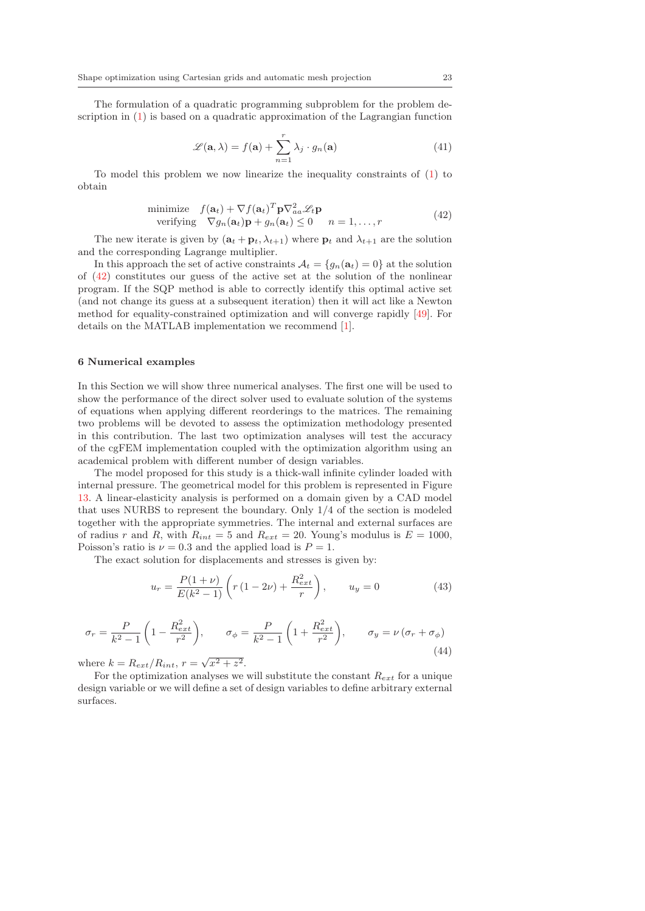The formulation of a quadratic programming subproblem for the problem description in (1) is based on a quadratic approximation of the Lagrangian function

$$
\mathcal{L}(\mathbf{a}, \lambda) = f(\mathbf{a}) + \sum_{n=1}^{r} \lambda_j \cdot g_n(\mathbf{a})
$$
\n(41)

To model this problem we now linearize the inequality constraints of (1) to obtain

minimize 
$$
f(\mathbf{a}_t) + \nabla f(\mathbf{a}_t)^T \mathbf{p} \nabla_{aa}^2 \mathcal{L}_t \mathbf{p}
$$
  
verifying  $\nabla g_n(\mathbf{a}_t) \mathbf{p} + g_n(\mathbf{a}_t) \leq 0$   $n = 1, ..., r$  (42)

The new iterate is given by  $(\mathbf{a}_t + \mathbf{p}_t, \lambda_{t+1})$  where  $\mathbf{p}_t$  and  $\lambda_{t+1}$  are the solution and the corresponding Lagrange multiplier.

In this approach the set of active constraints  $A_t = \{g_n(\mathbf{a}_t) = 0\}$  at the solution of (42) constitutes our guess of the active set at the solution of the nonlinear program. If the SQP method is able to correctly identify this optimal active set (and not change its guess at a subsequent iteration) then it will act like a Newton method for equality-constrained optimization and will converge rapidly [49]. For details on the MATLAB implementation we recommend [1].

#### **6 Numerical examples**

In this Section we will show three numerical analyses. The first one will be used to show the performance of the direct solver used to evaluate solution of the systems of equations when applying different reorderings to the matrices. The remaining two problems will be devoted to assess the optimization methodology presented in this contribution. The last two optimization analyses will test the accuracy of the cgFEM implementation coupled with the optimization algorithm using an academical problem with different number of design variables.

The model proposed for this study is a thick-wall infinite cylinder loaded with internal pressure. The geometrical model for this problem is represented in Figure 13. A linear-elasticity analysis is performed on a domain given by a CAD model that uses NURBS to represent the boundary. Only 1/4 of the section is modeled together with the appropriate symmetries. The internal and external surfaces are of radius r and R, with  $R_{int} = 5$  and  $R_{ext} = 20$ . Young's modulus is  $E = 1000$ , Poisson's ratio is  $\nu = 0.3$  and the applied load is  $P = 1$ .

The exact solution for displacements and stresses is given by:

$$
u_r = \frac{P(1+\nu)}{E(k^2-1)} \left( r(1-2\nu) + \frac{R_{ext}^2}{r} \right), \qquad u_y = 0 \tag{43}
$$

$$
\sigma_r = \frac{P}{k^2 - 1} \left( 1 - \frac{R_{ext}^2}{r^2} \right), \qquad \sigma_\phi = \frac{P}{k^2 - 1} \left( 1 + \frac{R_{ext}^2}{r^2} \right), \qquad \sigma_y = \nu \left( \sigma_r + \sigma_\phi \right) \tag{44}
$$

where  $k = R_{ext}/R_{int}$ ,  $r = \sqrt{x^2 + z^2}$ .

For the optimization analyses we will substitute the constant R*ext* for a unique design variable or we will define a set of design variables to define arbitrary external surfaces.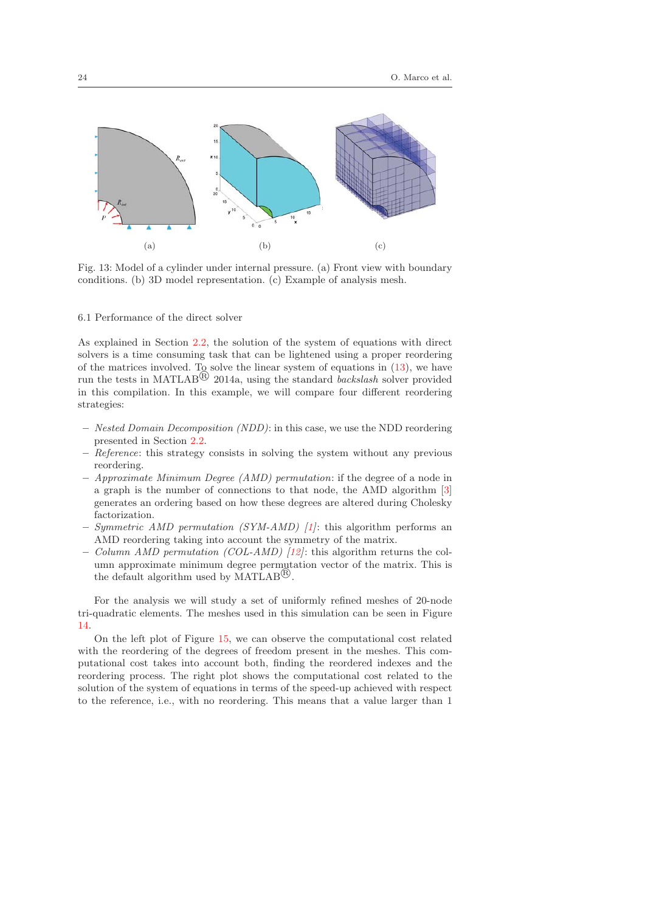

Fig. 13: Model of a cylinder under internal pressure. (a) Front view with boundary conditions. (b) 3D model representation. (c) Example of analysis mesh.

6.1 Performance of the direct solver

As explained in Section 2.2, the solution of the system of equations with direct solvers is a time consuming task that can be lightened using a proper reordering of the matrices involved. To solve the linear system of equations in (13), we have run the tests in MATLAB<sup> $\circledR$ </sup> 2014a, using the standard *backslash* solver provided in this compilation. In this example, we will compare four different reordering strategies:

- **–** Nested Domain Decomposition (NDD): in this case, we use the NDD reordering presented in Section 2.2.
- **–** Reference: this strategy consists in solving the system without any previous reordering.
- **–** Approximate Minimum Degree (AMD) permutation: if the degree of a node in a graph is the number of connections to that node, the AMD algorithm [3] generates an ordering based on how these degrees are altered during Cholesky factorization.
- **–** Symmetric AMD permutation (SYM-AMD) [1]: this algorithm performs an AMD reordering taking into account the symmetry of the matrix.
- **–** Column AMD permutation (COL-AMD) [12]: this algorithm returns the column approximate minimum degree permutation vector of the matrix. This is the default algorithm used by MATLAB<sup> $\mathbb{B}$ </sup>.

For the analysis we will study a set of uniformly refined meshes of 20-node tri-quadratic elements. The meshes used in this simulation can be seen in Figure 14.

On the left plot of Figure 15, we can observe the computational cost related with the reordering of the degrees of freedom present in the meshes. This computational cost takes into account both, finding the reordered indexes and the reordering process. The right plot shows the computational cost related to the solution of the system of equations in terms of the speed-up achieved with respect to the reference, i.e., with no reordering. This means that a value larger than 1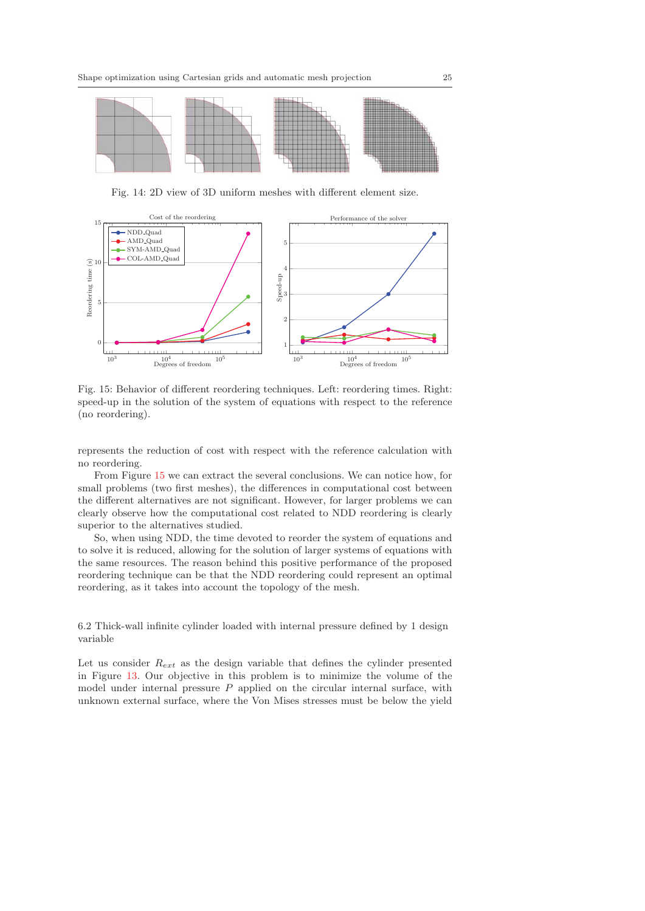

Fig. 14: 2D view of 3D uniform meshes with different element size.



Fig. 15: Behavior of different reordering techniques. Left: reordering times. Right: speed-up in the solution of the system of equations with respect to the reference (no reordering).

represents the reduction of cost with respect with the reference calculation with no reordering.

From Figure 15 we can extract the several conclusions. We can notice how, for small problems (two first meshes), the differences in computational cost between the different alternatives are not significant. However, for larger problems we can clearly observe how the computational cost related to NDD reordering is clearly superior to the alternatives studied.

So, when using NDD, the time devoted to reorder the system of equations and to solve it is reduced, allowing for the solution of larger systems of equations with the same resources. The reason behind this positive performance of the proposed reordering technique can be that the NDD reordering could represent an optimal reordering, as it takes into account the topology of the mesh.

6.2 Thick-wall infinite cylinder loaded with internal pressure defined by 1 design variable

Let us consider R*ext* as the design variable that defines the cylinder presented in Figure 13. Our objective in this problem is to minimize the volume of the model under internal pressure  $P$  applied on the circular internal surface, with unknown external surface, where the Von Mises stresses must be below the yield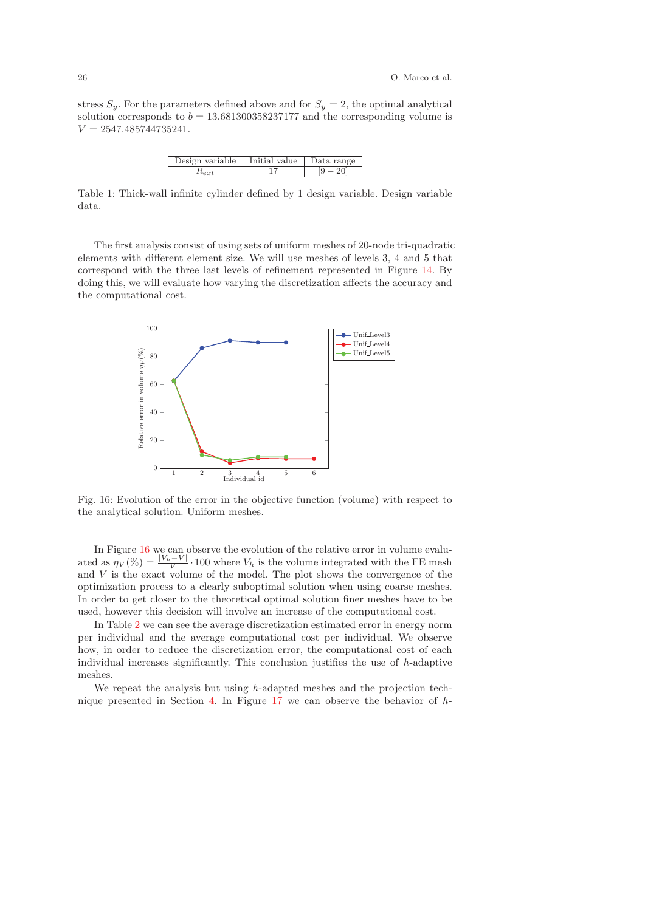stress  $S_y$ . For the parameters defined above and for  $S_y = 2$ , the optimal analytical solution corresponds to  $b = 13.681300358237177$  and the corresponding volume is  $V = 2547.485744735241.$ 

| Design variable   Initial value | Data range |
|---------------------------------|------------|
| $\mathfrak{n}_{ext}$            |            |

Table 1: Thick-wall infinite cylinder defined by 1 design variable. Design variable data.

The first analysis consist of using sets of uniform meshes of 20-node tri-quadratic elements with different element size. We will use meshes of levels 3, 4 and 5 that correspond with the three last levels of refinement represented in Figure 14. By doing this, we will evaluate how varying the discretization affects the accuracy and the computational cost.



Fig. 16: Evolution of the error in the objective function (volume) with respect to the analytical solution. Uniform meshes.

In Figure 16 we can observe the evolution of the relative error in volume evaluated as  $\eta_V(\%) = \frac{|V_h - V|}{V} \cdot 100$  where  $V_h$  is the volume integrated with the FE mesh and  $V$  is the exact volume of the model. The plot shows the convergence of the optimization process to a clearly suboptimal solution when using coarse meshes. In order to get closer to the theoretical optimal solution finer meshes have to be used, however this decision will involve an increase of the computational cost.

In Table 2 we can see the average discretization estimated error in energy norm per individual and the average computational cost per individual. We observe how, in order to reduce the discretization error, the computational cost of each individual increases significantly. This conclusion justifies the use of h-adaptive meshes.

We repeat the analysis but using h-adapted meshes and the projection technique presented in Section 4. In Figure 17 we can observe the behavior of  $h$ -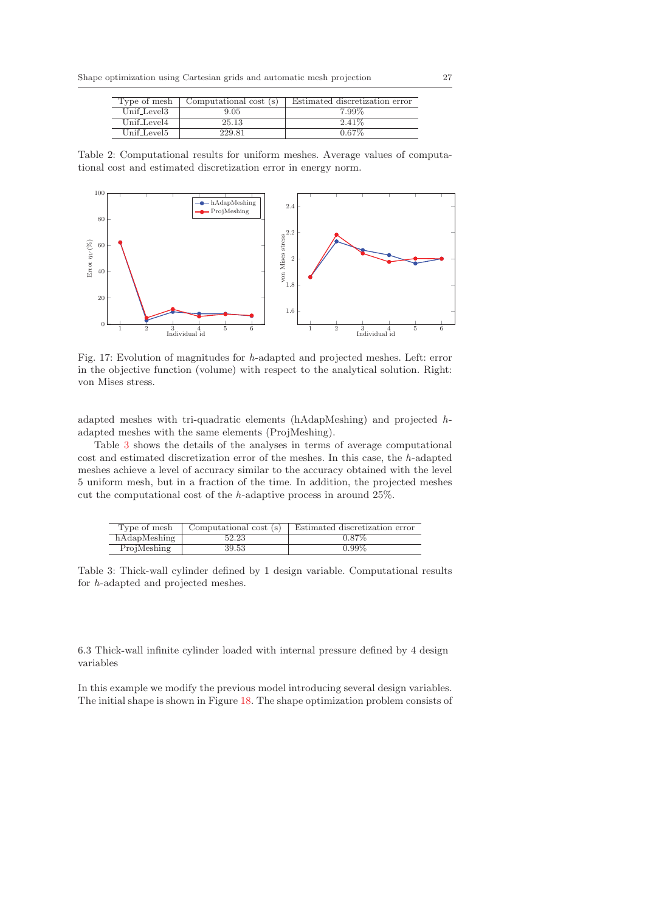| Type of mesh   | Computational cost (s) | Estimated discretization error |
|----------------|------------------------|--------------------------------|
| $Unif\_Level3$ | 9.05                   | 7.99%                          |
| Unif_Level4    | 25.13                  | $2.41\%$                       |
| Unif Level5    | 229.81                 | $0.67\%$                       |

Table 2: Computational results for uniform meshes. Average values of computational cost and estimated discretization error in energy norm.



Fig. 17: Evolution of magnitudes for h-adapted and projected meshes. Left: error in the objective function (volume) with respect to the analytical solution. Right: von Mises stress.

adapted meshes with tri-quadratic elements (hAdapMeshing) and projected hadapted meshes with the same elements (ProjMeshing).

Table 3 shows the details of the analyses in terms of average computational cost and estimated discretization error of the meshes. In this case, the h-adapted meshes achieve a level of accuracy similar to the accuracy obtained with the level 5 uniform mesh, but in a fraction of the time. In addition, the projected meshes cut the computational cost of the h-adaptive process in around 25%.

| Type of mesh | Computational cost (s) | Estimated discretization error |
|--------------|------------------------|--------------------------------|
| hAdapMeshing | 52.23                  | $0.87\%$                       |
| ProjMeshing  | 39.53                  | $0.99\%$                       |

Table 3: Thick-wall cylinder defined by 1 design variable. Computational results for h-adapted and projected meshes.

6.3 Thick-wall infinite cylinder loaded with internal pressure defined by 4 design variables

In this example we modify the previous model introducing several design variables. The initial shape is shown in Figure 18. The shape optimization problem consists of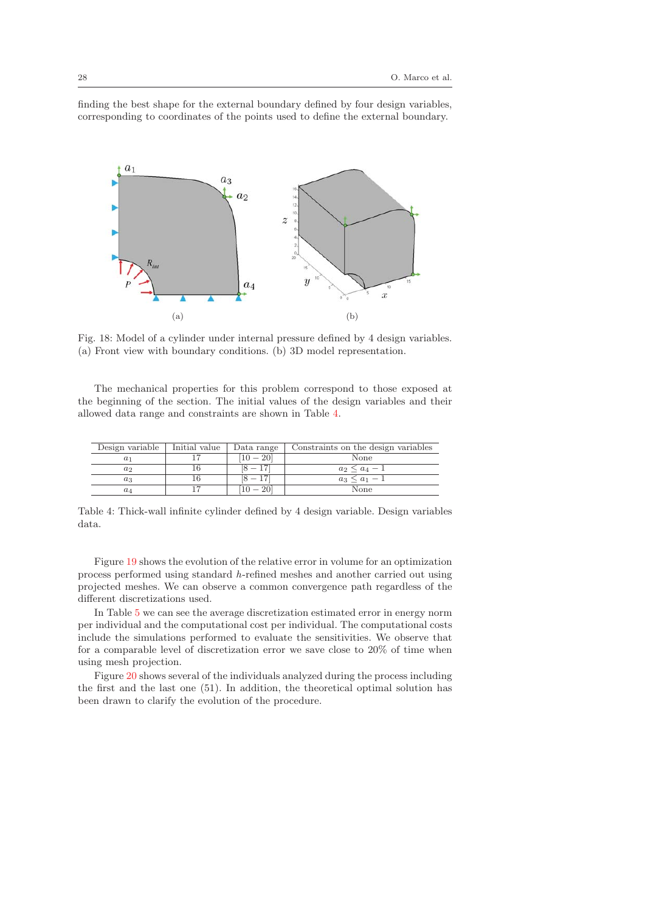finding the best shape for the external boundary defined by four design variables, corresponding to coordinates of the points used to define the external boundary.



Fig. 18: Model of a cylinder under internal pressure defined by 4 design variables. (a) Front view with boundary conditions. (b) 3D model representation.

The mechanical properties for this problem correspond to those exposed at the beginning of the section. The initial values of the design variables and their allowed data range and constraints are shown in Table 4.

| Design variable | Initial value | Data range | Constraints on the design variables |
|-----------------|---------------|------------|-------------------------------------|
|                 |               | $-20$      | None                                |
| $a_2$           |               |            | $a_2 < a_4 - 1$                     |
| $a_3$           |               |            | $a_3 \leq a_1 - 1$                  |
| $a_4$           |               |            | None                                |

Table 4: Thick-wall infinite cylinder defined by 4 design variable. Design variables data.

Figure 19 shows the evolution of the relative error in volume for an optimization process performed using standard h-refined meshes and another carried out using projected meshes. We can observe a common convergence path regardless of the different discretizations used.

In Table 5 we can see the average discretization estimated error in energy norm per individual and the computational cost per individual. The computational costs include the simulations performed to evaluate the sensitivities. We observe that for a comparable level of discretization error we save close to 20% of time when using mesh projection.

Figure 20 shows several of the individuals analyzed during the process including the first and the last one (51). In addition, the theoretical optimal solution has been drawn to clarify the evolution of the procedure.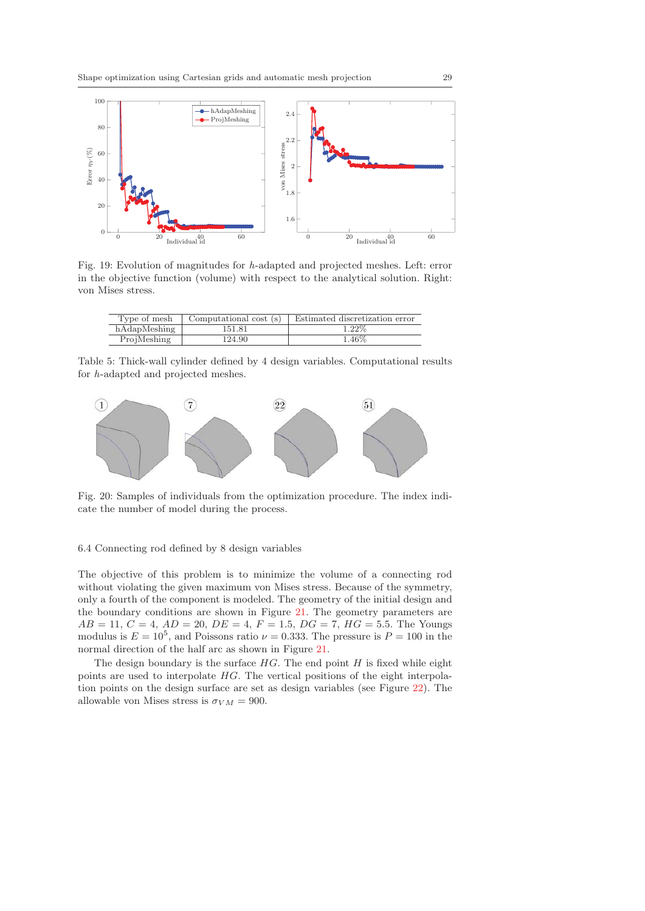

Fig. 19: Evolution of magnitudes for h-adapted and projected meshes. Left: error in the objective function (volume) with respect to the analytical solution. Right: von Mises stress.

| Type of mesh | Computational cost (s) | Estimated discretization error |
|--------------|------------------------|--------------------------------|
| hAdapMeshing | 151.81                 | $1.22\%$                       |
| ProjMeshing  | 124.90                 | $1.46\%$                       |

Table 5: Thick-wall cylinder defined by 4 design variables. Computational results for h-adapted and projected meshes.



Fig. 20: Samples of individuals from the optimization procedure. The index indicate the number of model during the process.

#### 6.4 Connecting rod defined by 8 design variables

The objective of this problem is to minimize the volume of a connecting rod without violating the given maximum von Mises stress. Because of the symmetry, only a fourth of the component is modeled. The geometry of the initial design and the boundary conditions are shown in Figure 21. The geometry parameters are  $AB = 11, C = 4, AD = 20, DE = 4, F = 1.5, DG = 7, HG = 5.5.$  The Youngs modulus is  $E = 10^5$ , and Poissons ratio  $\nu = 0.333$ . The pressure is  $P = 100$  in the normal direction of the half arc as shown in Figure 21.

The design boundary is the surface  $HG$ . The end point  $H$  is fixed while eight points are used to interpolate HG. The vertical positions of the eight interpolation points on the design surface are set as design variables (see Figure 22). The allowable von Mises stress is  $\sigma_{VM} = 900$ .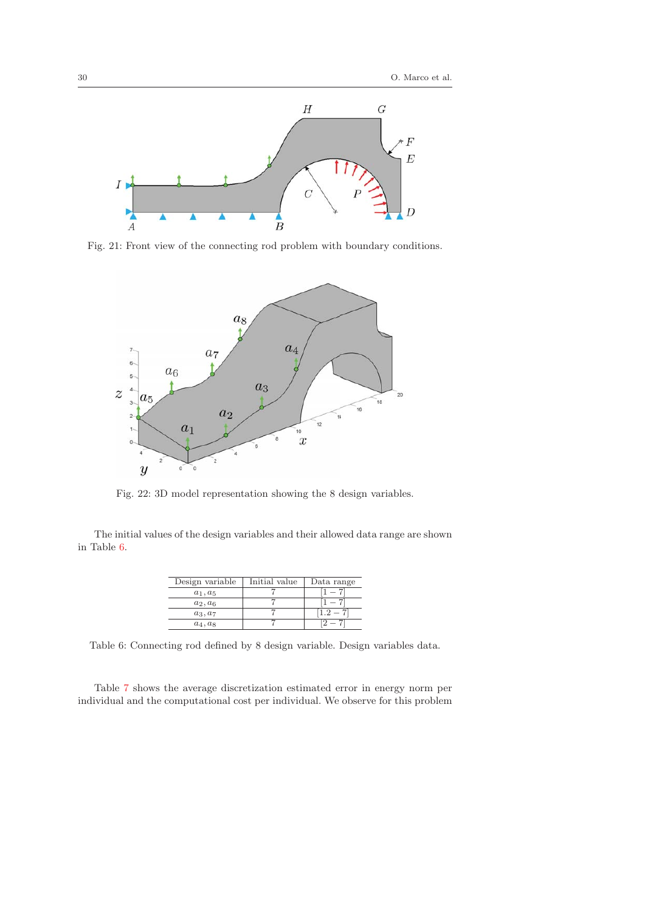

Fig. 21: Front view of the connecting rod problem with boundary conditions.



Fig. 22: 3D model representation showing the 8 design variables.

The initial values of the design variables and their allowed data range are shown in Table 6.

| Design variable | Initial value | Data range |
|-----------------|---------------|------------|
| $a_1, a_5$      |               |            |
| $a_2, a_6$      |               |            |
| $a_3, a_7$      |               | - 2        |
| $a_4, a_8$      |               |            |

Table 6: Connecting rod defined by 8 design variable. Design variables data.

Table 7 shows the average discretization estimated error in energy norm per individual and the computational cost per individual. We observe for this problem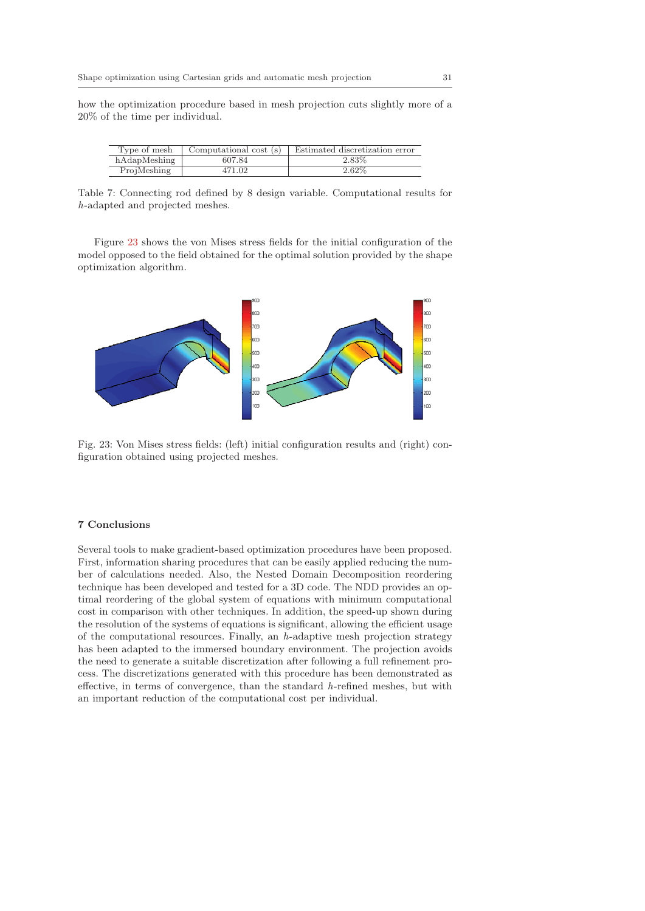how the optimization procedure based in mesh projection cuts slightly more of a 20% of the time per individual.

| Type of mesh | Computational cost (s) | Estimated discretization error |
|--------------|------------------------|--------------------------------|
| hAdapMeshing | 607.84                 | 2.83%                          |
| ProjMeshing  | 471.02                 | 2.62%                          |

Table 7: Connecting rod defined by 8 design variable. Computational results for h-adapted and projected meshes.

Figure 23 shows the von Mises stress fields for the initial configuration of the model opposed to the field obtained for the optimal solution provided by the shape optimization algorithm.



Fig. 23: Von Mises stress fields: (left) initial configuration results and (right) configuration obtained using projected meshes.

#### **7 Conclusions**

Several tools to make gradient-based optimization procedures have been proposed. First, information sharing procedures that can be easily applied reducing the number of calculations needed. Also, the Nested Domain Decomposition reordering technique has been developed and tested for a 3D code. The NDD provides an optimal reordering of the global system of equations with minimum computational cost in comparison with other techniques. In addition, the speed-up shown during the resolution of the systems of equations is significant, allowing the efficient usage of the computational resources. Finally, an  $h$ -adaptive mesh projection strategy has been adapted to the immersed boundary environment. The projection avoids the need to generate a suitable discretization after following a full refinement process. The discretizations generated with this procedure has been demonstrated as effective, in terms of convergence, than the standard h-refined meshes, but with an important reduction of the computational cost per individual.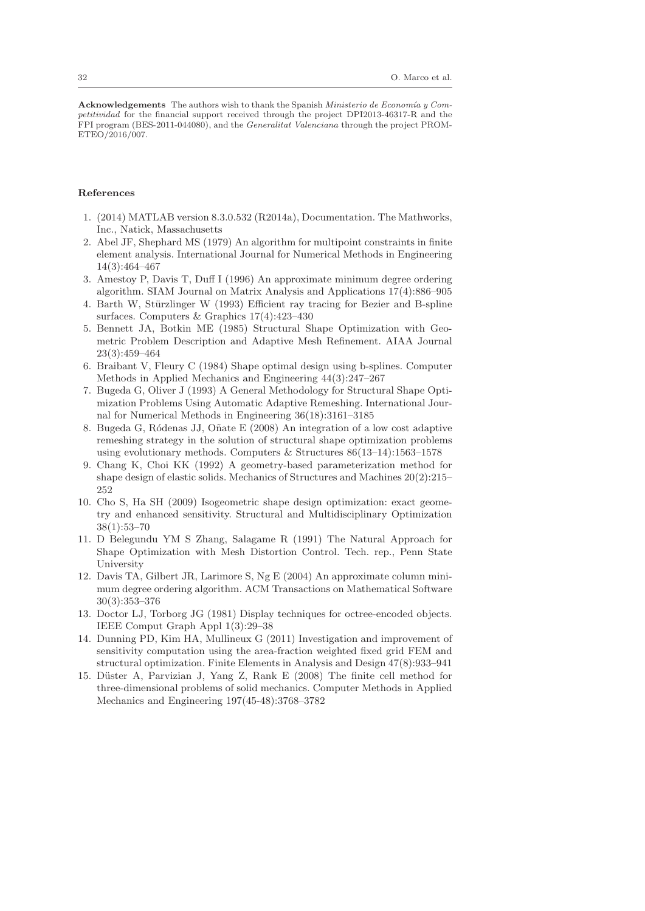Acknowledgements The authors wish to thank the Spanish *Ministerio de Economía y Competitividad* for the financial support received through the project DPI2013-46317-R and the FPI program (BES-2011-044080), and the *Generalitat Valenciana* through the project PROM-ETEO/2016/007.

### **References**

- 1. (2014) MATLAB version 8.3.0.532 (R2014a), Documentation. The Mathworks, Inc., Natick, Massachusetts
- 2. Abel JF, Shephard MS (1979) An algorithm for multipoint constraints in finite element analysis. International Journal for Numerical Methods in Engineering 14(3):464–467
- 3. Amestoy P, Davis T, Duff I (1996) An approximate minimum degree ordering algorithm. SIAM Journal on Matrix Analysis and Applications 17(4):886–905
- 4. Barth W, Stürzlinger W (1993) Efficient ray tracing for Bezier and B-spline surfaces. Computers & Graphics 17(4):423–430
- 5. Bennett JA, Botkin ME (1985) Structural Shape Optimization with Geometric Problem Description and Adaptive Mesh Refinement. AIAA Journal 23(3):459–464
- 6. Braibant V, Fleury C (1984) Shape optimal design using b-splines. Computer Methods in Applied Mechanics and Engineering 44(3):247–267
- 7. Bugeda G, Oliver J (1993) A General Methodology for Structural Shape Optimization Problems Using Automatic Adaptive Remeshing. International Journal for Numerical Methods in Engineering 36(18):3161–3185
- 8. Bugeda G, Ródenas JJ, Oñate E (2008) An integration of a low cost adaptive remeshing strategy in the solution of structural shape optimization problems using evolutionary methods. Computers & Structures 86(13–14):1563–1578
- 9. Chang K, Choi KK (1992) A geometry-based parameterization method for shape design of elastic solids. Mechanics of Structures and Machines 20(2):215– 252
- 10. Cho S, Ha SH (2009) Isogeometric shape design optimization: exact geometry and enhanced sensitivity. Structural and Multidisciplinary Optimization 38(1):53–70
- 11. D Belegundu YM S Zhang, Salagame R (1991) The Natural Approach for Shape Optimization with Mesh Distortion Control. Tech. rep., Penn State University
- 12. Davis TA, Gilbert JR, Larimore S, Ng E (2004) An approximate column minimum degree ordering algorithm. ACM Transactions on Mathematical Software 30(3):353–376
- 13. Doctor LJ, Torborg JG (1981) Display techniques for octree-encoded objects. IEEE Comput Graph Appl 1(3):29–38
- 14. Dunning PD, Kim HA, Mullineux G (2011) Investigation and improvement of sensitivity computation using the area-fraction weighted fixed grid FEM and structural optimization. Finite Elements in Analysis and Design 47(8):933–941
- 15. Düster A, Parvizian J, Yang Z, Rank E (2008) The finite cell method for three-dimensional problems of solid mechanics. Computer Methods in Applied Mechanics and Engineering 197(45-48):3768–3782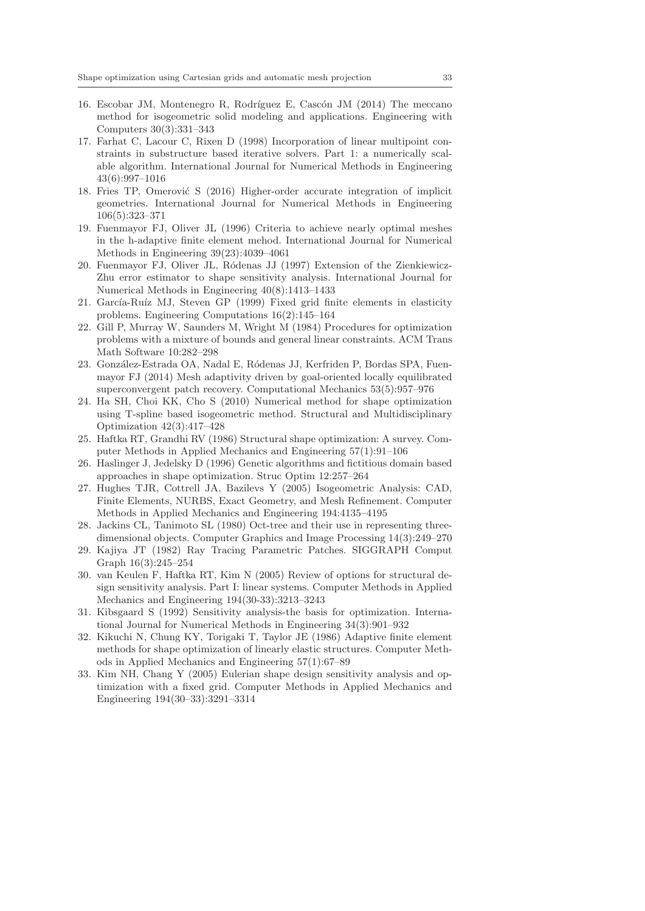- 16. Escobar JM, Montenegro R, Rodríguez E, Cascón JM (2014) The meccano method for isogeometric solid modeling and applications. Engineering with Computers 30(3):331–343
- 17. Farhat C, Lacour C, Rixen D (1998) Incorporation of linear multipoint constraints in substructure based iterative solvers. Part 1: a numerically scalable algorithm. International Journal for Numerical Methods in Engineering 43(6):997–1016
- 18. Fries TP, Omerović S (2016) Higher-order accurate integration of implicit geometries. International Journal for Numerical Methods in Engineering 106(5):323–371
- 19. Fuenmayor FJ, Oliver JL (1996) Criteria to achieve nearly optimal meshes in the h-adaptive finite element mehod. International Journal for Numerical Methods in Engineering 39(23):4039–4061
- 20. Fuenmayor FJ, Oliver JL, Ródenas JJ (1997) Extension of the Zienkiewicz-Zhu error estimator to shape sensitivity analysis. International Journal for Numerical Methods in Engineering 40(8):1413–1433
- 21. García-Ruíz MJ, Steven GP (1999) Fixed grid finite elements in elasticity problems. Engineering Computations 16(2):145–164
- 22. Gill P, Murray W, Saunders M, Wright M (1984) Procedures for optimization problems with a mixture of bounds and general linear constraints. ACM Trans Math Software 10:282–298
- 23. González-Estrada OA, Nadal E, Ródenas JJ, Kerfriden P, Bordas SPA, Fuenmayor FJ (2014) Mesh adaptivity driven by goal-oriented locally equilibrated superconvergent patch recovery. Computational Mechanics 53(5):957–976
- 24. Ha SH, Choi KK, Cho S (2010) Numerical method for shape optimization using T-spline based isogeometric method. Structural and Multidisciplinary Optimization 42(3):417–428
- 25. Haftka RT, Grandhi RV (1986) Structural shape optimization: A survey. Computer Methods in Applied Mechanics and Engineering 57(1):91–106
- 26. Haslinger J, Jedelsky D (1996) Genetic algorithms and fictitious domain based approaches in shape optimization. Struc Optim 12:257–264
- 27. Hughes TJR, Cottrell JA, Bazilevs Y (2005) Isogeometric Analysis: CAD, Finite Elements, NURBS, Exact Geometry, and Mesh Refinement. Computer Methods in Applied Mechanics and Engineering 194:4135–4195
- 28. Jackins CL, Tanimoto SL (1980) Oct-tree and their use in representing threedimensional objects. Computer Graphics and Image Processing 14(3):249–270
- 29. Kajiya JT (1982) Ray Tracing Parametric Patches. SIGGRAPH Comput Graph 16(3):245–254
- 30. van Keulen F, Haftka RT, Kim N (2005) Review of options for structural design sensitivity analysis. Part I: linear systems. Computer Methods in Applied Mechanics and Engineering 194(30-33):3213–3243
- 31. Kibsgaard S (1992) Sensitivity analysis-the basis for optimization. International Journal for Numerical Methods in Engineering 34(3):901–932
- 32. Kikuchi N, Chung KY, Torigaki T, Taylor JE (1986) Adaptive finite element methods for shape optimization of linearly elastic structures. Computer Methods in Applied Mechanics and Engineering 57(1):67–89
- 33. Kim NH, Chang Y (2005) Eulerian shape design sensitivity analysis and optimization with a fixed grid. Computer Methods in Applied Mechanics and Engineering 194(30–33):3291–3314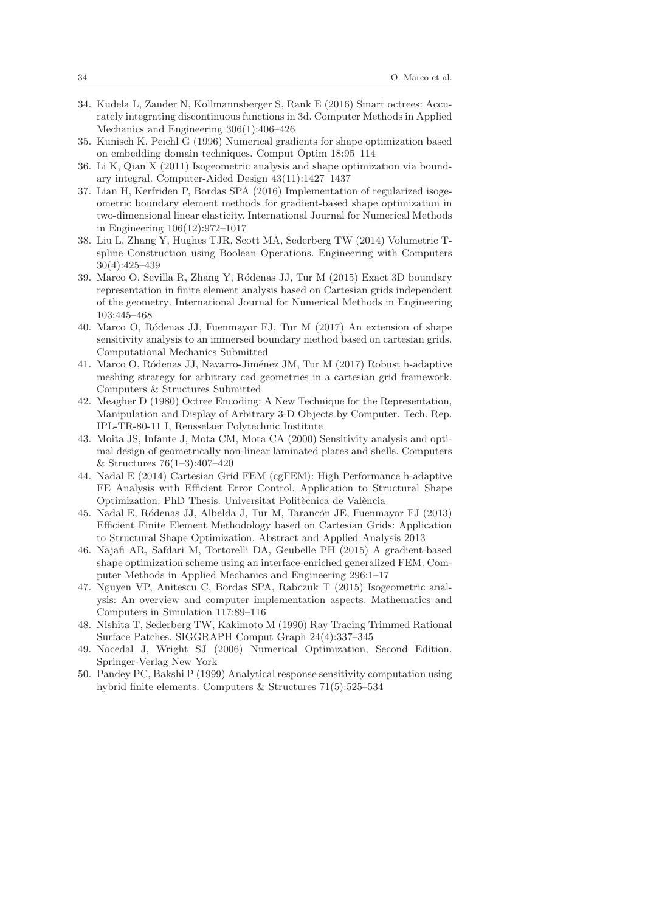- 34. Kudela L, Zander N, Kollmannsberger S, Rank E (2016) Smart octrees: Accurately integrating discontinuous functions in 3d. Computer Methods in Applied Mechanics and Engineering 306(1):406–426
- 35. Kunisch K, Peichl G (1996) Numerical gradients for shape optimization based on embedding domain techniques. Comput Optim 18:95–114
- 36. Li K, Qian X (2011) Isogeometric analysis and shape optimization via boundary integral. Computer-Aided Design 43(11):1427–1437
- 37. Lian H, Kerfriden P, Bordas SPA (2016) Implementation of regularized isogeometric boundary element methods for gradient-based shape optimization in two-dimensional linear elasticity. International Journal for Numerical Methods in Engineering 106(12):972–1017
- 38. Liu L, Zhang Y, Hughes TJR, Scott MA, Sederberg TW (2014) Volumetric Tspline Construction using Boolean Operations. Engineering with Computers 30(4):425–439
- 39. Marco O, Sevilla R, Zhang Y, Ródenas JJ, Tur M (2015) Exact 3D boundary representation in finite element analysis based on Cartesian grids independent of the geometry. International Journal for Numerical Methods in Engineering 103:445–468
- 40. Marco O, R´odenas JJ, Fuenmayor FJ, Tur M (2017) An extension of shape sensitivity analysis to an immersed boundary method based on cartesian grids. Computational Mechanics Submitted
- 41. Marco O, Ródenas JJ, Navarro-Jiménez JM, Tur M (2017) Robust h-adaptive meshing strategy for arbitrary cad geometries in a cartesian grid framework. Computers & Structures Submitted
- 42. Meagher D (1980) Octree Encoding: A New Technique for the Representation, Manipulation and Display of Arbitrary 3-D Objects by Computer. Tech. Rep. IPL-TR-80-11 I, Rensselaer Polytechnic Institute
- 43. Moita JS, Infante J, Mota CM, Mota CA (2000) Sensitivity analysis and optimal design of geometrically non-linear laminated plates and shells. Computers & Structures 76(1–3):407–420
- 44. Nadal E (2014) Cartesian Grid FEM (cgFEM): High Performance h-adaptive FE Analysis with Efficient Error Control. Application to Structural Shape Optimization. PhD Thesis. Universitat Politècnica de València
- 45. Nadal E, Ródenas JJ, Albelda J, Tur M, Tarancón JE, Fuenmayor FJ (2013) Efficient Finite Element Methodology based on Cartesian Grids: Application to Structural Shape Optimization. Abstract and Applied Analysis 2013
- 46. Najafi AR, Safdari M, Tortorelli DA, Geubelle PH (2015) A gradient-based shape optimization scheme using an interface-enriched generalized FEM. Computer Methods in Applied Mechanics and Engineering 296:1–17
- 47. Nguyen VP, Anitescu C, Bordas SPA, Rabczuk T (2015) Isogeometric analysis: An overview and computer implementation aspects. Mathematics and Computers in Simulation 117:89–116
- 48. Nishita T, Sederberg TW, Kakimoto M (1990) Ray Tracing Trimmed Rational Surface Patches. SIGGRAPH Comput Graph 24(4):337–345
- 49. Nocedal J, Wright SJ (2006) Numerical Optimization, Second Edition. Springer-Verlag New York
- 50. Pandey PC, Bakshi P (1999) Analytical response sensitivity computation using hybrid finite elements. Computers & Structures 71(5):525–534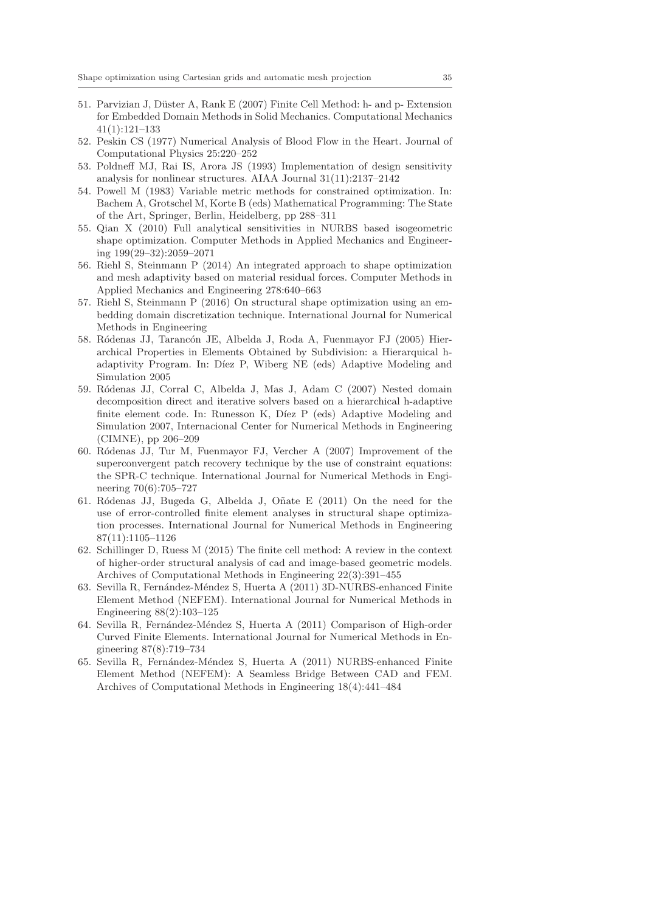- 51. Parvizian J, Düster A, Rank E (2007) Finite Cell Method: h- and p- Extension for Embedded Domain Methods in Solid Mechanics. Computational Mechanics 41(1):121–133
- 52. Peskin CS (1977) Numerical Analysis of Blood Flow in the Heart. Journal of Computational Physics 25:220–252
- 53. Poldneff MJ, Rai IS, Arora JS (1993) Implementation of design sensitivity analysis for nonlinear structures. AIAA Journal 31(11):2137–2142
- 54. Powell M (1983) Variable metric methods for constrained optimization. In: Bachem A, Grotschel M, Korte B (eds) Mathematical Programming: The State of the Art, Springer, Berlin, Heidelberg, pp 288–311
- 55. Qian X (2010) Full analytical sensitivities in NURBS based isogeometric shape optimization. Computer Methods in Applied Mechanics and Engineering 199(29–32):2059–2071
- 56. Riehl S, Steinmann P (2014) An integrated approach to shape optimization and mesh adaptivity based on material residual forces. Computer Methods in Applied Mechanics and Engineering 278:640–663
- 57. Riehl S, Steinmann P (2016) On structural shape optimization using an embedding domain discretization technique. International Journal for Numerical Methods in Engineering
- 58. Ródenas JJ, Tarancón JE, Albelda J, Roda A, Fuenmayor FJ (2005) Hierarchical Properties in Elements Obtained by Subdivision: a Hierarquical hadaptivity Program. In: Díez P, Wiberg NE (eds) Adaptive Modeling and Simulation 2005
- 59. Ródenas JJ, Corral C, Albelda J, Mas J, Adam C (2007) Nested domain decomposition direct and iterative solvers based on a hierarchical h-adaptive finite element code. In: Runesson K, Díez P (eds) Adaptive Modeling and Simulation 2007, Internacional Center for Numerical Methods in Engineering (CIMNE), pp 206–209
- 60. R´odenas JJ, Tur M, Fuenmayor FJ, Vercher A (2007) Improvement of the superconvergent patch recovery technique by the use of constraint equations: the SPR-C technique. International Journal for Numerical Methods in Engineering 70(6):705–727
- 61. Ródenas JJ, Bugeda G, Albelda J, Oñate E (2011) On the need for the use of error-controlled finite element analyses in structural shape optimization processes. International Journal for Numerical Methods in Engineering 87(11):1105–1126
- 62. Schillinger D, Ruess M (2015) The finite cell method: A review in the context of higher-order structural analysis of cad and image-based geometric models. Archives of Computational Methods in Engineering 22(3):391–455
- 63. Sevilla R, Fernández-Méndez S, Huerta A (2011) 3D-NURBS-enhanced Finite Element Method (NEFEM). International Journal for Numerical Methods in Engineering 88(2):103–125
- 64. Sevilla R, Fernández-Méndez S, Huerta A (2011) Comparison of High-order Curved Finite Elements. International Journal for Numerical Methods in Engineering 87(8):719–734
- 65. Sevilla R, Fernández-Méndez S, Huerta A (2011) NURBS-enhanced Finite Element Method (NEFEM): A Seamless Bridge Between CAD and FEM. Archives of Computational Methods in Engineering 18(4):441–484